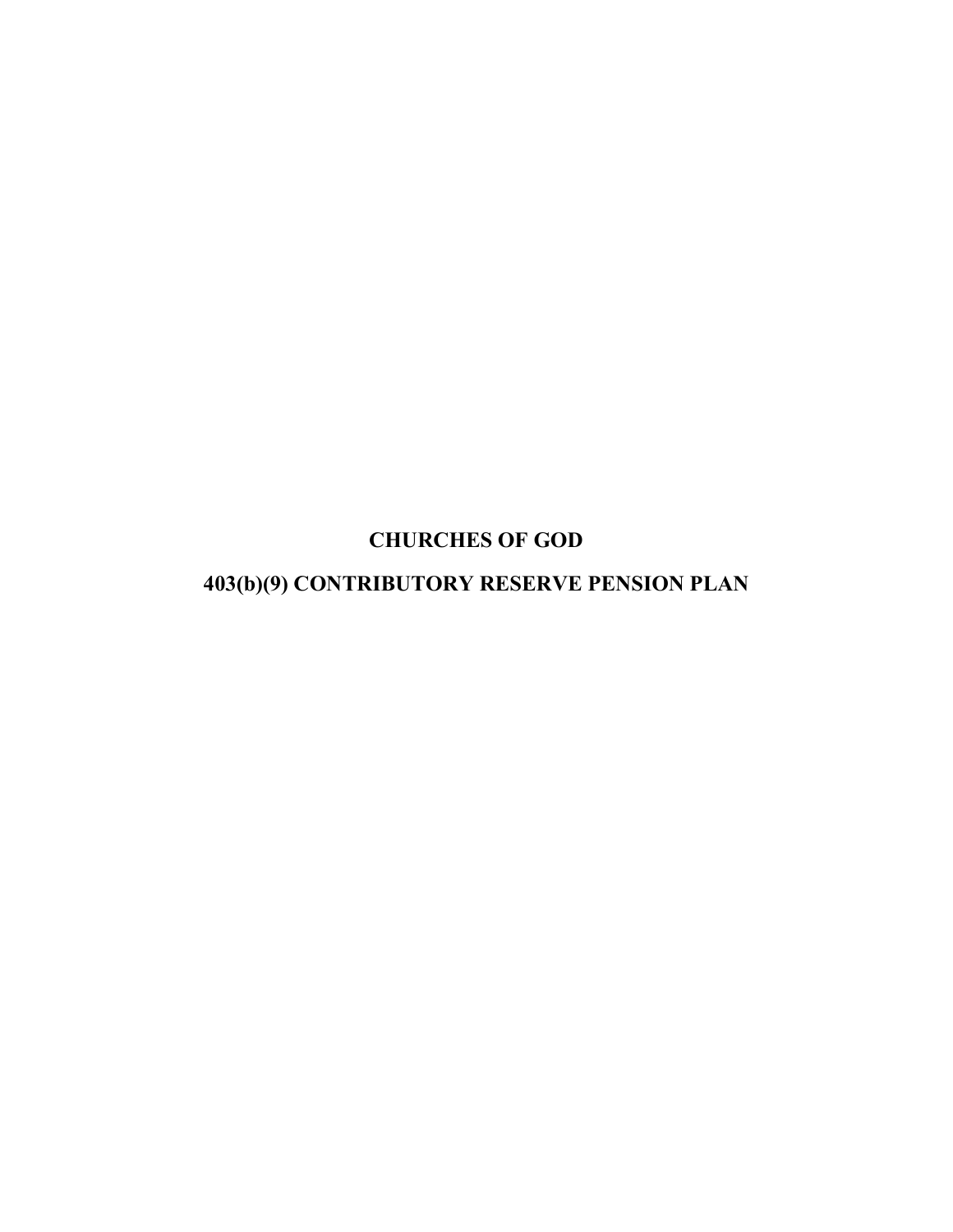CHURCHES OF GOD

403(b)(9) CONTRIBUTORY RESERVE PENSION PLAN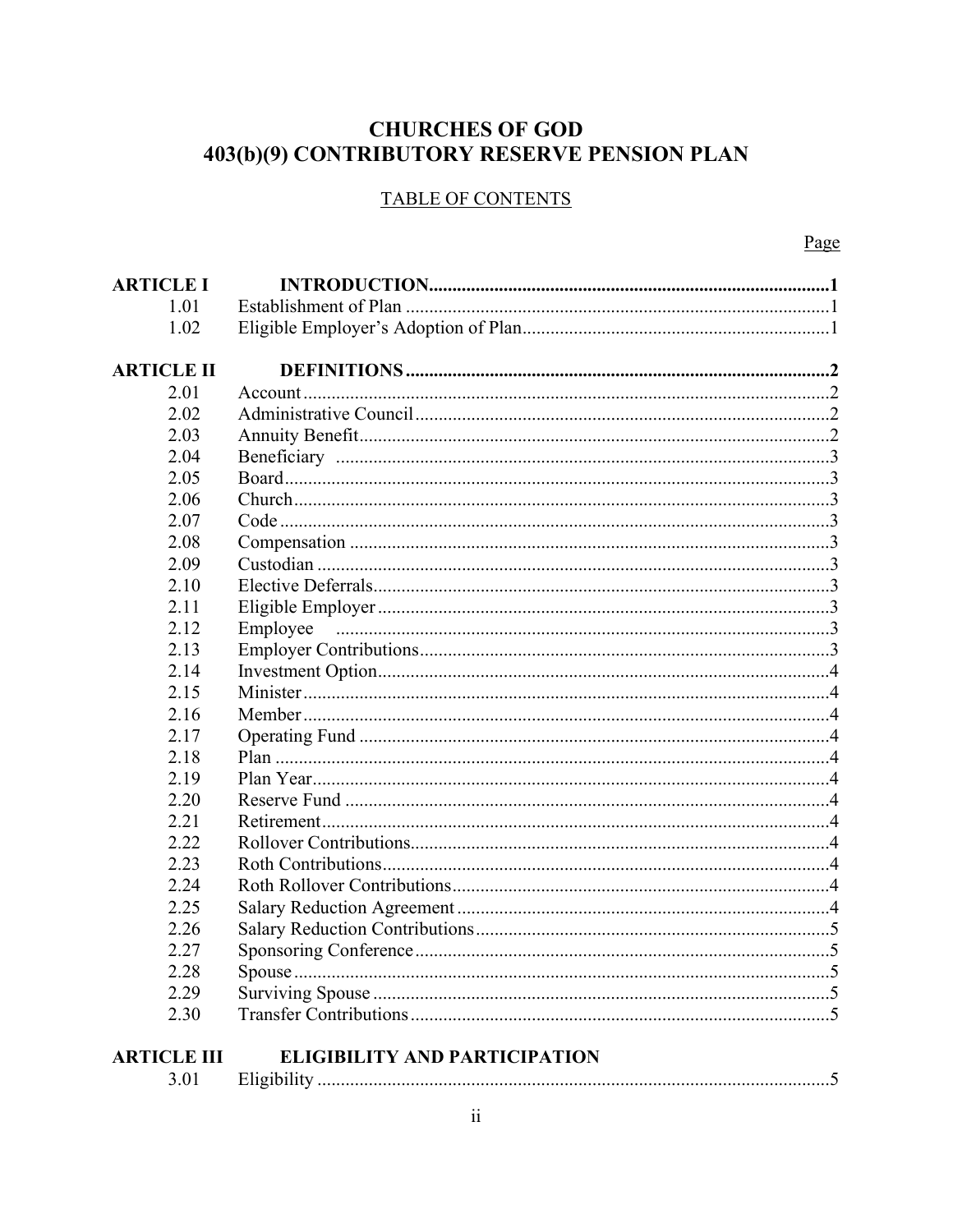# **CHURCHES OF GOD** 403(b)(9) CONTRIBUTORY RESERVE PENSION PLAN

# **TABLE OF CONTENTS**

| <b>ARTICLE I</b>   |                                      |
|--------------------|--------------------------------------|
| 1.01               |                                      |
| 1.02               |                                      |
|                    |                                      |
| <b>ARTICLE II</b>  |                                      |
| 2.01               |                                      |
| 2.02               |                                      |
| 2.03               |                                      |
| 2.04               |                                      |
| 2.05               |                                      |
| 2.06               |                                      |
| 2.07               |                                      |
| 2.08               |                                      |
| 2.09               |                                      |
| 2.10               |                                      |
| 2.11               |                                      |
| 2.12               | Employee                             |
| 2.13               |                                      |
| 2.14               |                                      |
| 2.15               |                                      |
| 2.16               |                                      |
| 2.17               |                                      |
| 2.18               |                                      |
| 2.19               |                                      |
| 2.20               |                                      |
| 2.21               |                                      |
| 2.22               |                                      |
| 2.23               |                                      |
| 2.24               |                                      |
| 2.25               |                                      |
| 2.26               |                                      |
| 2.27               |                                      |
| 2.28               |                                      |
| 2.29               |                                      |
| 2.30               |                                      |
|                    |                                      |
| <b>ARTICLE III</b> | <b>ELIGIBILITY AND PARTICIPATION</b> |

| . |  |
|---|--|
|---|--|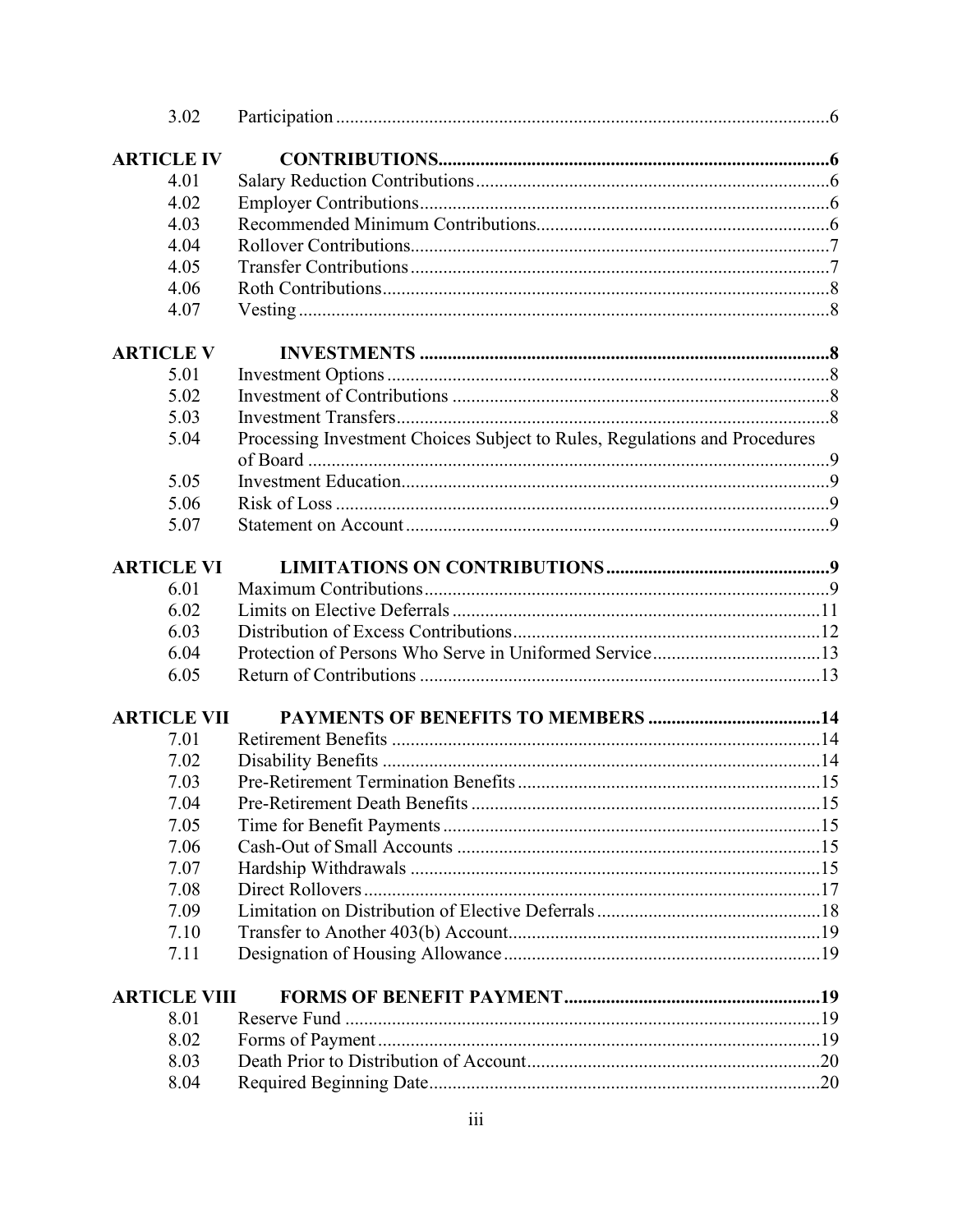|                     | 3.02 |                                                                            |  |
|---------------------|------|----------------------------------------------------------------------------|--|
| <b>ARTICLE IV</b>   |      |                                                                            |  |
|                     | 4.01 |                                                                            |  |
|                     | 4.02 |                                                                            |  |
|                     | 4.03 |                                                                            |  |
|                     | 4.04 |                                                                            |  |
|                     | 4.05 |                                                                            |  |
|                     | 4.06 |                                                                            |  |
|                     | 4.07 |                                                                            |  |
| <b>ARTICLE V</b>    |      |                                                                            |  |
|                     | 5.01 |                                                                            |  |
|                     | 5.02 |                                                                            |  |
|                     | 5.03 |                                                                            |  |
|                     | 5.04 | Processing Investment Choices Subject to Rules, Regulations and Procedures |  |
|                     |      |                                                                            |  |
|                     | 5.05 |                                                                            |  |
|                     | 5.06 |                                                                            |  |
|                     | 5.07 |                                                                            |  |
| <b>ARTICLE VI</b>   |      |                                                                            |  |
|                     | 6.01 |                                                                            |  |
|                     | 6.02 |                                                                            |  |
|                     | 6.03 |                                                                            |  |
|                     | 6.04 |                                                                            |  |
|                     | 6.05 |                                                                            |  |
| <b>ARTICLE VII</b>  |      |                                                                            |  |
|                     | 7.01 |                                                                            |  |
|                     | 7.02 |                                                                            |  |
|                     | 7.03 |                                                                            |  |
|                     | 7.04 |                                                                            |  |
|                     | 7.05 |                                                                            |  |
|                     | 7.06 |                                                                            |  |
|                     | 7.07 |                                                                            |  |
|                     | 7.08 |                                                                            |  |
|                     | 7.09 |                                                                            |  |
|                     | 7.10 |                                                                            |  |
|                     | 7.11 |                                                                            |  |
| <b>ARTICLE VIII</b> |      |                                                                            |  |
|                     | 8.01 |                                                                            |  |
|                     | 8.02 |                                                                            |  |
|                     | 8.03 |                                                                            |  |
|                     | 8.04 |                                                                            |  |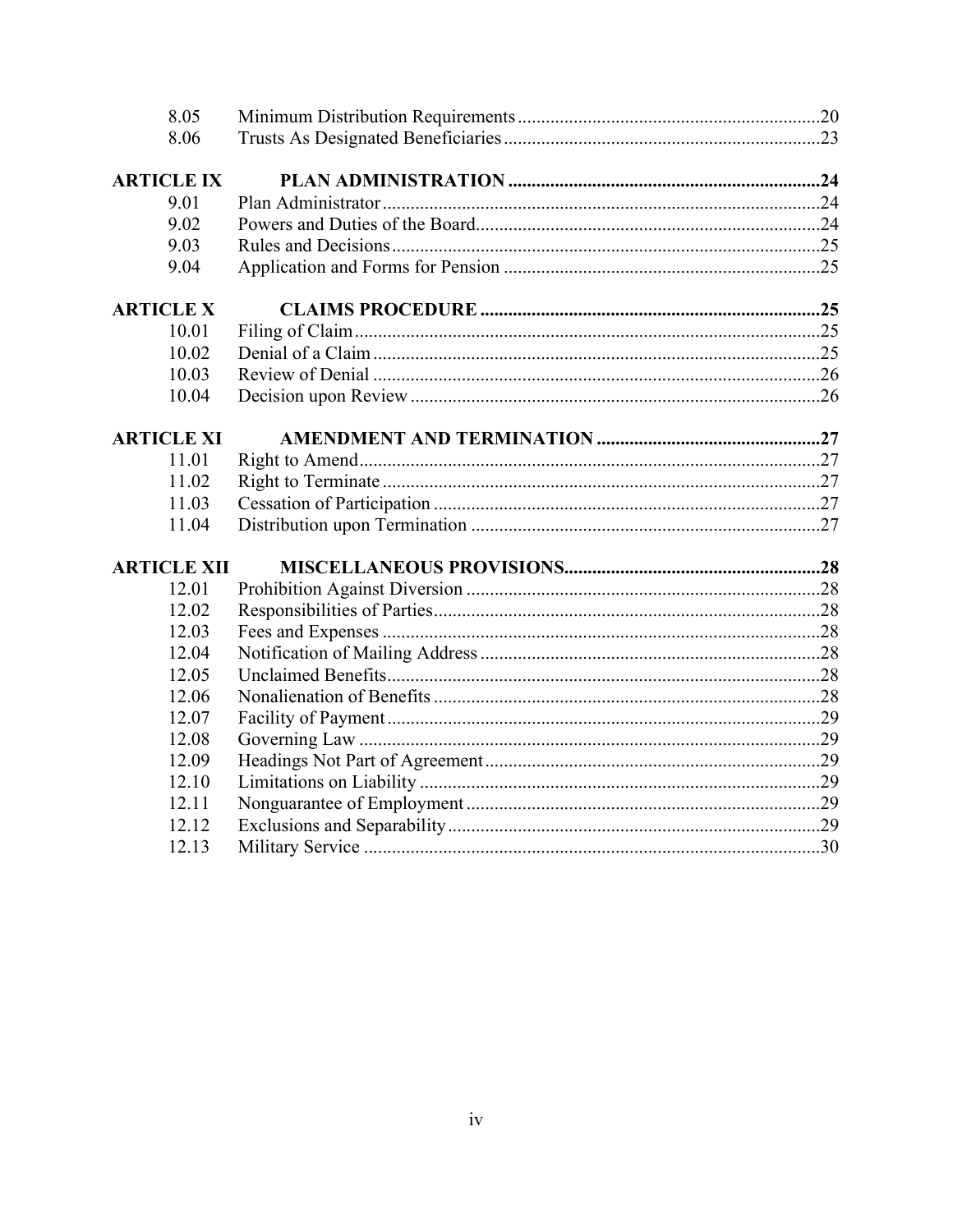| 8.05               |  |
|--------------------|--|
| 8.06               |  |
| <b>ARTICLE IX</b>  |  |
| 9.01               |  |
| 9.02               |  |
| 9.03               |  |
| 9.04               |  |
| <b>ARTICLE X</b>   |  |
| 10.01              |  |
| 10.02              |  |
| 10.03              |  |
| 10.04              |  |
| <b>ARTICLE XI</b>  |  |
| 11.01              |  |
| 11.02              |  |
| 11.03              |  |
| 11.04              |  |
| <b>ARTICLE XII</b> |  |
| 12.01              |  |
| 12.02              |  |
| 12.03              |  |
| 12.04              |  |
| 12.05              |  |
| 12.06              |  |
| 12.07              |  |
| 12.08              |  |
| 12.09              |  |
| 12.10              |  |
| 12.11              |  |
| 12.12              |  |
| 12.13              |  |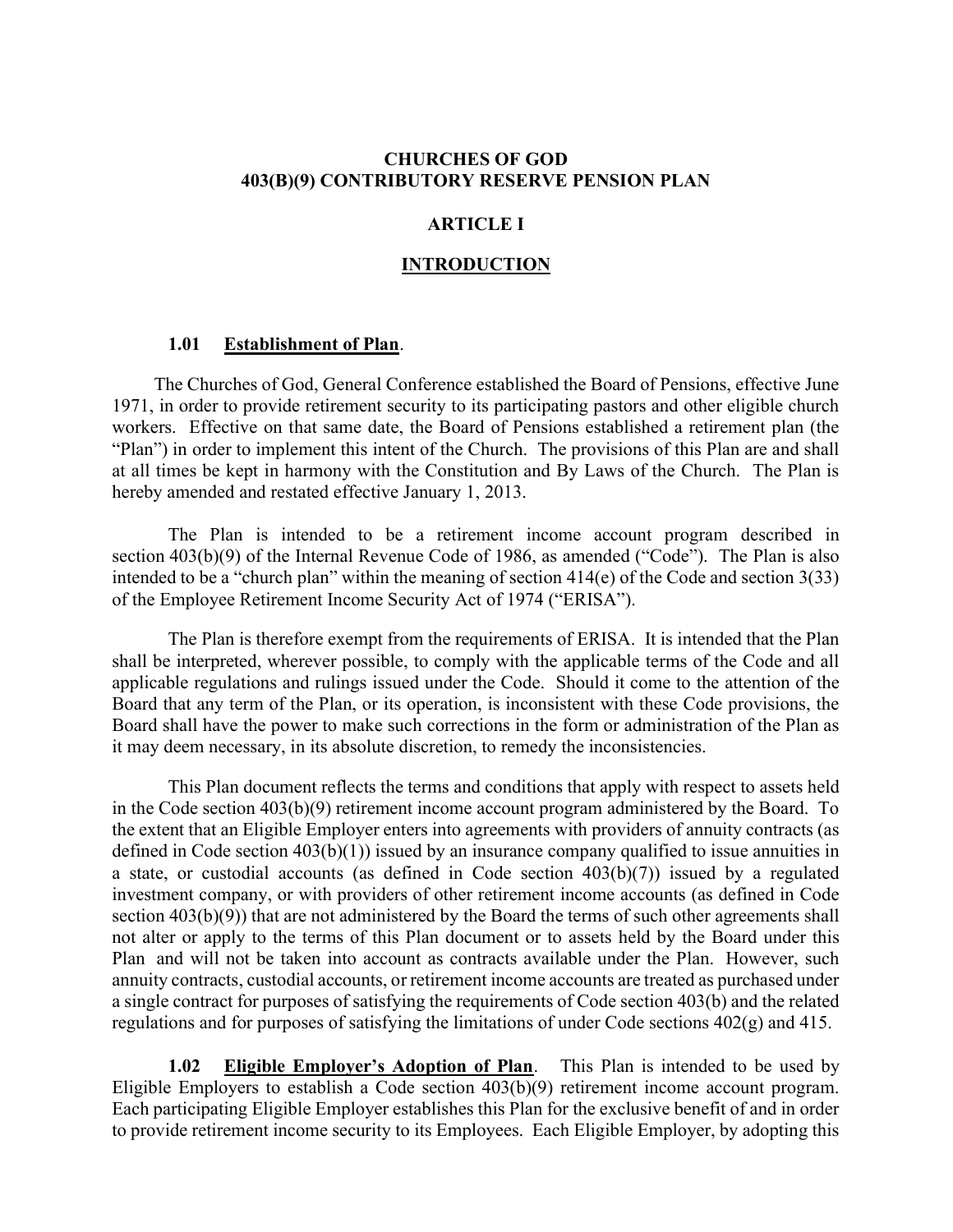#### CHURCHES OF GOD 403(B)(9) CONTRIBUTORY RESERVE PENSION PLAN

#### ARTICLE I

#### **INTRODUCTION**

#### 1.01 Establishment of Plan.

The Churches of God, General Conference established the Board of Pensions, effective June 1971, in order to provide retirement security to its participating pastors and other eligible church workers. Effective on that same date, the Board of Pensions established a retirement plan (the "Plan") in order to implement this intent of the Church. The provisions of this Plan are and shall at all times be kept in harmony with the Constitution and By Laws of the Church. The Plan is hereby amended and restated effective January 1, 2013.

The Plan is intended to be a retirement income account program described in section 403(b)(9) of the Internal Revenue Code of 1986, as amended ("Code"). The Plan is also intended to be a "church plan" within the meaning of section 414(e) of the Code and section 3(33) of the Employee Retirement Income Security Act of 1974 ("ERISA").

The Plan is therefore exempt from the requirements of ERISA. It is intended that the Plan shall be interpreted, wherever possible, to comply with the applicable terms of the Code and all applicable regulations and rulings issued under the Code. Should it come to the attention of the Board that any term of the Plan, or its operation, is inconsistent with these Code provisions, the Board shall have the power to make such corrections in the form or administration of the Plan as it may deem necessary, in its absolute discretion, to remedy the inconsistencies.

 This Plan document reflects the terms and conditions that apply with respect to assets held in the Code section 403(b)(9) retirement income account program administered by the Board. To the extent that an Eligible Employer enters into agreements with providers of annuity contracts (as defined in Code section 403(b)(1)) issued by an insurance company qualified to issue annuities in a state, or custodial accounts (as defined in Code section 403(b)(7)) issued by a regulated investment company, or with providers of other retirement income accounts (as defined in Code section 403(b)(9)) that are not administered by the Board the terms of such other agreements shall not alter or apply to the terms of this Plan document or to assets held by the Board under this Plan and will not be taken into account as contracts available under the Plan. However, such annuity contracts, custodial accounts, or retirement income accounts are treated as purchased under a single contract for purposes of satisfying the requirements of Code section 403(b) and the related regulations and for purposes of satisfying the limitations of under Code sections 402(g) and 415.

1.02 Eligible Employer's Adoption of Plan. This Plan is intended to be used by Eligible Employers to establish a Code section 403(b)(9) retirement income account program. Each participating Eligible Employer establishes this Plan for the exclusive benefit of and in order to provide retirement income security to its Employees. Each Eligible Employer, by adopting this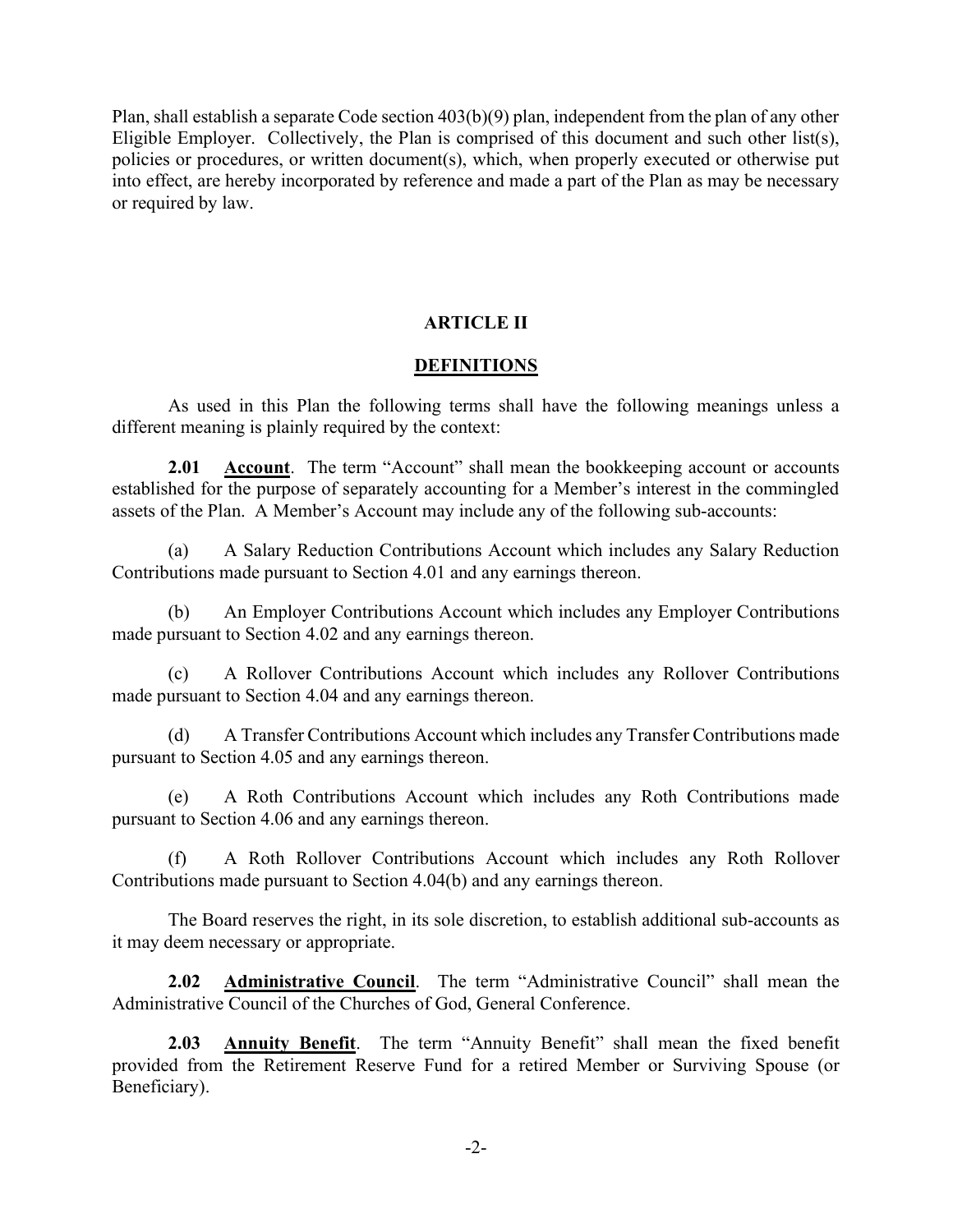Plan, shall establish a separate Code section 403(b)(9) plan, independent from the plan of any other Eligible Employer. Collectively, the Plan is comprised of this document and such other list(s), policies or procedures, or written document(s), which, when properly executed or otherwise put into effect, are hereby incorporated by reference and made a part of the Plan as may be necessary or required by law.

### ARTICLE II

#### **DEFINITIONS**

As used in this Plan the following terms shall have the following meanings unless a different meaning is plainly required by the context:

2.01 Account. The term "Account" shall mean the bookkeeping account or accounts established for the purpose of separately accounting for a Member's interest in the commingled assets of the Plan. A Member's Account may include any of the following sub-accounts:

(a) A Salary Reduction Contributions Account which includes any Salary Reduction Contributions made pursuant to Section 4.01 and any earnings thereon.

(b) An Employer Contributions Account which includes any Employer Contributions made pursuant to Section 4.02 and any earnings thereon.

(c) A Rollover Contributions Account which includes any Rollover Contributions made pursuant to Section 4.04 and any earnings thereon.

(d) A Transfer Contributions Account which includes any Transfer Contributions made pursuant to Section 4.05 and any earnings thereon.

(e) A Roth Contributions Account which includes any Roth Contributions made pursuant to Section 4.06 and any earnings thereon.

(f) A Roth Rollover Contributions Account which includes any Roth Rollover Contributions made pursuant to Section 4.04(b) and any earnings thereon.

 The Board reserves the right, in its sole discretion, to establish additional sub-accounts as it may deem necessary or appropriate.

2.02 Administrative Council. The term "Administrative Council" shall mean the Administrative Council of the Churches of God, General Conference.

2.03 Annuity Benefit. The term "Annuity Benefit" shall mean the fixed benefit provided from the Retirement Reserve Fund for a retired Member or Surviving Spouse (or Beneficiary).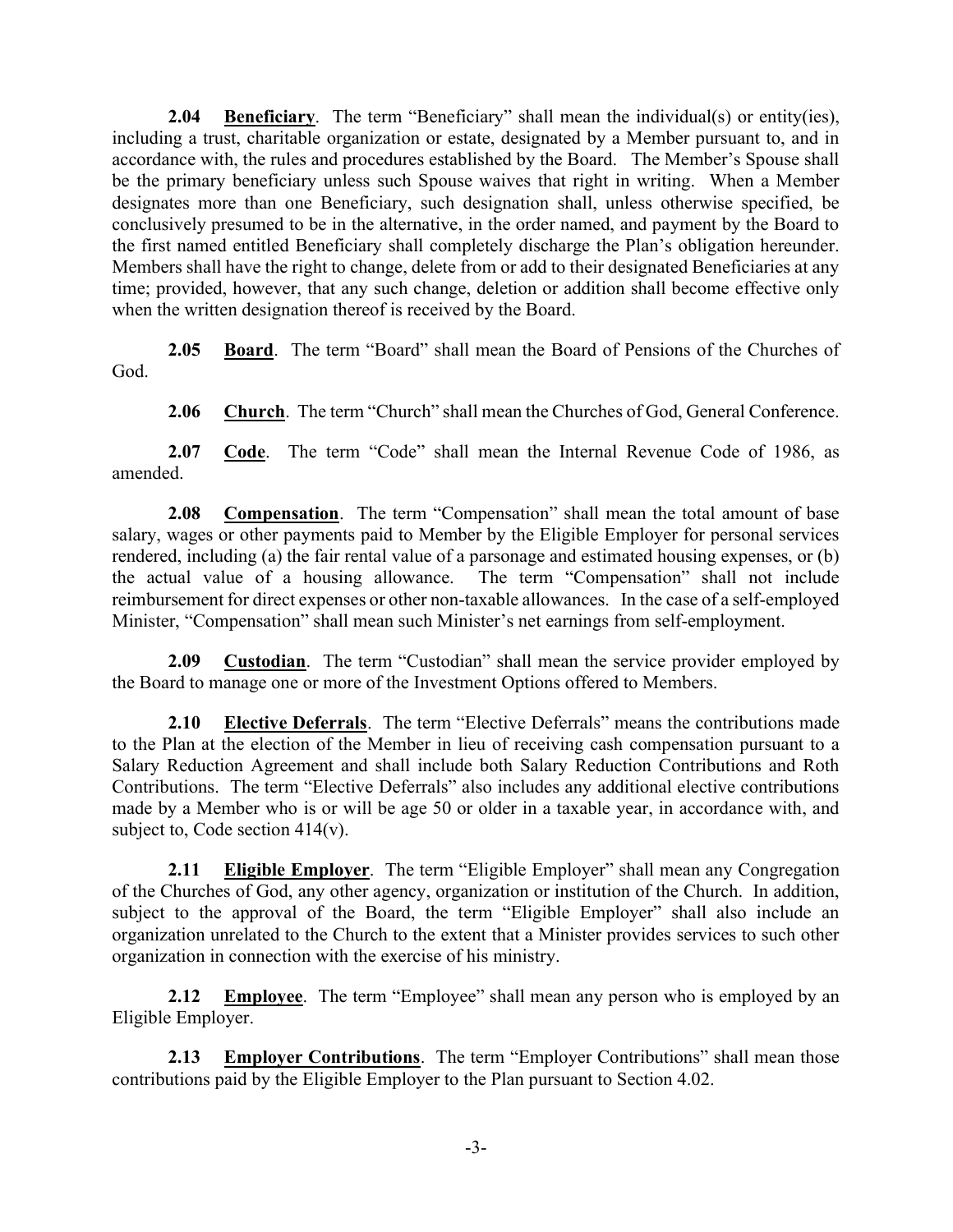**2.04** Beneficiary. The term "Beneficiary" shall mean the individual(s) or entity(ies), including a trust, charitable organization or estate, designated by a Member pursuant to, and in accordance with, the rules and procedures established by the Board. The Member's Spouse shall be the primary beneficiary unless such Spouse waives that right in writing. When a Member designates more than one Beneficiary, such designation shall, unless otherwise specified, be conclusively presumed to be in the alternative, in the order named, and payment by the Board to the first named entitled Beneficiary shall completely discharge the Plan's obligation hereunder. Members shall have the right to change, delete from or add to their designated Beneficiaries at any time; provided, however, that any such change, deletion or addition shall become effective only when the written designation thereof is received by the Board.

2.05 Board. The term "Board" shall mean the Board of Pensions of the Churches of God.

2.06 Church. The term "Church" shall mean the Churches of God, General Conference.

2.07 Code. The term "Code" shall mean the Internal Revenue Code of 1986, as amended.

2.08 Compensation. The term "Compensation" shall mean the total amount of base salary, wages or other payments paid to Member by the Eligible Employer for personal services rendered, including (a) the fair rental value of a parsonage and estimated housing expenses, or (b) the actual value of a housing allowance. The term "Compensation" shall not include reimbursement for direct expenses or other non-taxable allowances. In the case of a self-employed Minister, "Compensation" shall mean such Minister's net earnings from self-employment.

2.09 Custodian. The term "Custodian" shall mean the service provider employed by the Board to manage one or more of the Investment Options offered to Members.

2.10 Elective Deferrals. The term "Elective Deferrals" means the contributions made to the Plan at the election of the Member in lieu of receiving cash compensation pursuant to a Salary Reduction Agreement and shall include both Salary Reduction Contributions and Roth Contributions. The term "Elective Deferrals" also includes any additional elective contributions made by a Member who is or will be age 50 or older in a taxable year, in accordance with, and subject to, Code section 414(v).

2.11 Eligible Employer. The term "Eligible Employer" shall mean any Congregation of the Churches of God, any other agency, organization or institution of the Church. In addition, subject to the approval of the Board, the term "Eligible Employer" shall also include an organization unrelated to the Church to the extent that a Minister provides services to such other organization in connection with the exercise of his ministry.

**2.12** Employee. The term "Employee" shall mean any person who is employed by an Eligible Employer.

**2.13** Employer Contributions. The term "Employer Contributions" shall mean those contributions paid by the Eligible Employer to the Plan pursuant to Section 4.02.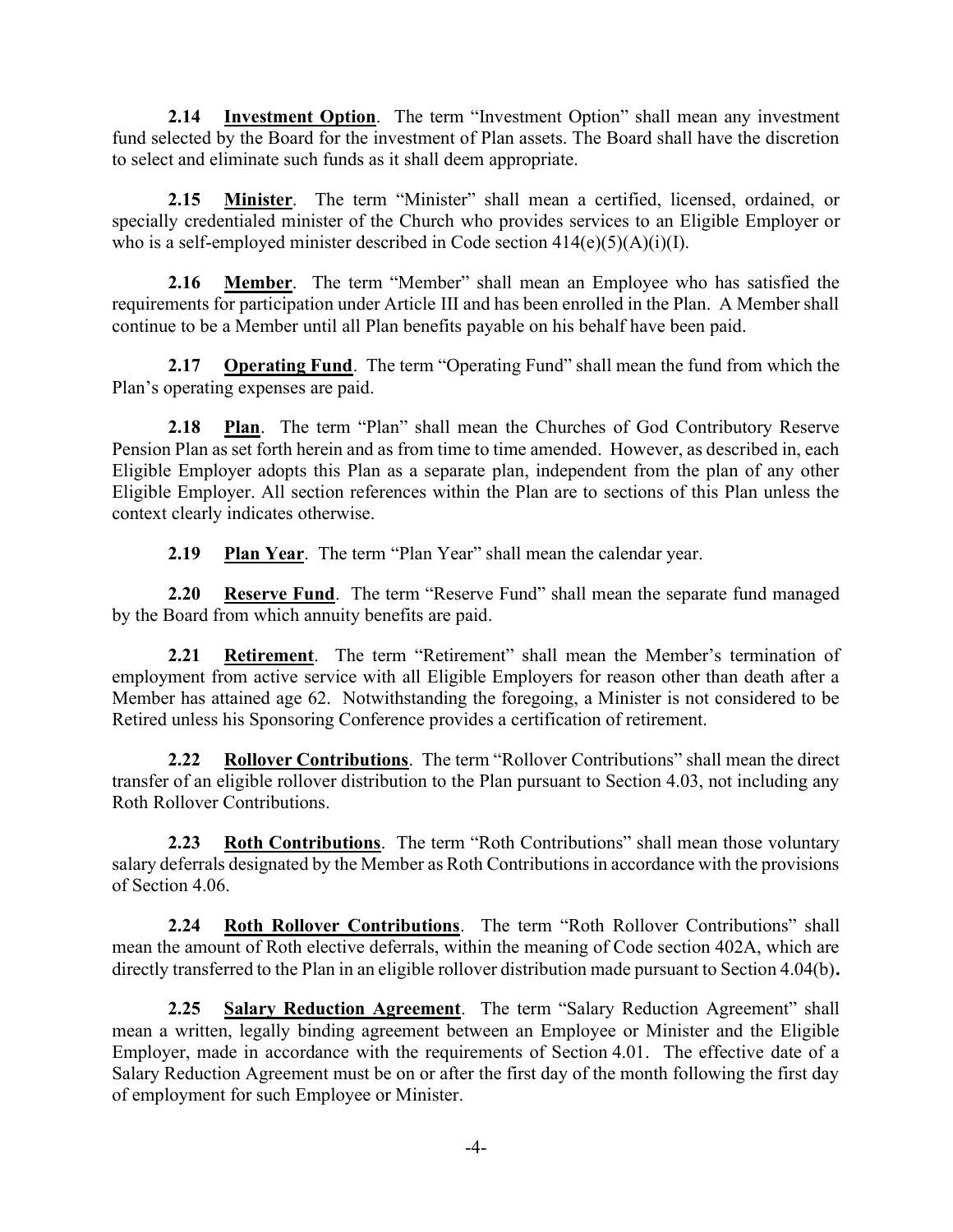2.14 Investment Option. The term "Investment Option" shall mean any investment fund selected by the Board for the investment of Plan assets. The Board shall have the discretion to select and eliminate such funds as it shall deem appropriate.

2.15 Minister. The term "Minister" shall mean a certified, licensed, ordained, or specially credentialed minister of the Church who provides services to an Eligible Employer or who is a self-employed minister described in Code section  $414(e)(5)(A)(i)(I)$ .

2.16 Member. The term "Member" shall mean an Employee who has satisfied the requirements for participation under Article III and has been enrolled in the Plan. A Member shall continue to be a Member until all Plan benefits payable on his behalf have been paid.

2.17 Operating Fund. The term "Operating Fund" shall mean the fund from which the Plan's operating expenses are paid.

2.18 Plan. The term "Plan" shall mean the Churches of God Contributory Reserve Pension Plan as set forth herein and as from time to time amended. However, as described in, each Eligible Employer adopts this Plan as a separate plan, independent from the plan of any other Eligible Employer. All section references within the Plan are to sections of this Plan unless the context clearly indicates otherwise.

2.19 Plan Year. The term "Plan Year" shall mean the calendar year.

2.20 Reserve Fund. The term "Reserve Fund" shall mean the separate fund managed by the Board from which annuity benefits are paid.

2.21 Retirement. The term "Retirement" shall mean the Member's termination of employment from active service with all Eligible Employers for reason other than death after a Member has attained age 62. Notwithstanding the foregoing, a Minister is not considered to be Retired unless his Sponsoring Conference provides a certification of retirement.

2.22 Rollover Contributions. The term "Rollover Contributions" shall mean the direct transfer of an eligible rollover distribution to the Plan pursuant to Section 4.03, not including any Roth Rollover Contributions.

**2.23** Roth Contributions. The term "Roth Contributions" shall mean those voluntary salary deferrals designated by the Member as Roth Contributions in accordance with the provisions of Section 4.06.

2.24 Roth Rollover Contributions. The term "Roth Rollover Contributions" shall mean the amount of Roth elective deferrals, within the meaning of Code section 402A, which are directly transferred to the Plan in an eligible rollover distribution made pursuant to Section 4.04(b).

2.25 Salary Reduction Agreement. The term "Salary Reduction Agreement" shall mean a written, legally binding agreement between an Employee or Minister and the Eligible Employer, made in accordance with the requirements of Section 4.01. The effective date of a Salary Reduction Agreement must be on or after the first day of the month following the first day of employment for such Employee or Minister.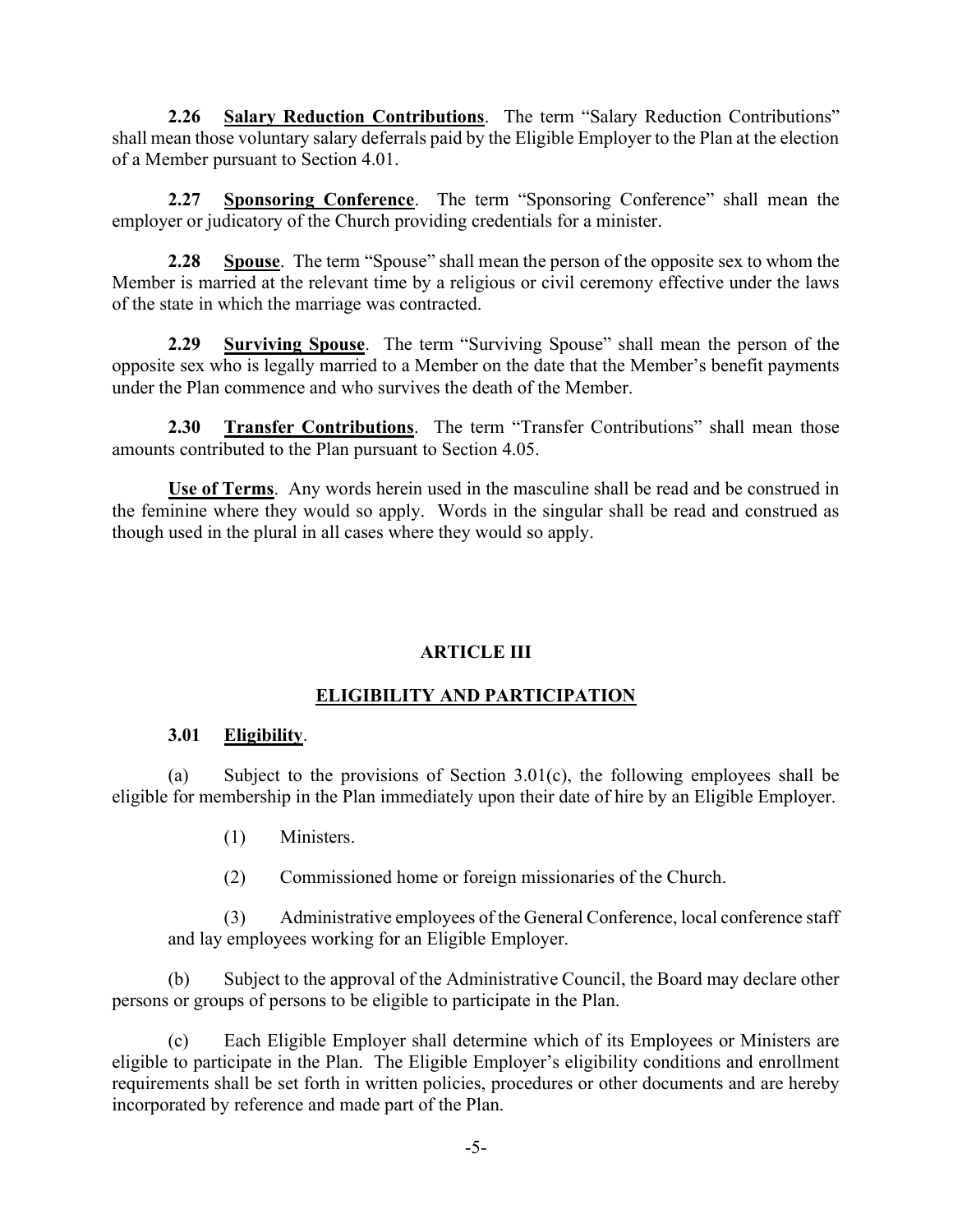2.26 Salary Reduction Contributions. The term "Salary Reduction Contributions" shall mean those voluntary salary deferrals paid by the Eligible Employer to the Plan at the election of a Member pursuant to Section 4.01.

2.27 Sponsoring Conference. The term "Sponsoring Conference" shall mean the employer or judicatory of the Church providing credentials for a minister.

2.28 Spouse. The term "Spouse" shall mean the person of the opposite sex to whom the Member is married at the relevant time by a religious or civil ceremony effective under the laws of the state in which the marriage was contracted.

2.29 Surviving Spouse. The term "Surviving Spouse" shall mean the person of the opposite sex who is legally married to a Member on the date that the Member's benefit payments under the Plan commence and who survives the death of the Member.

2.30 Transfer Contributions. The term "Transfer Contributions" shall mean those amounts contributed to the Plan pursuant to Section 4.05.

Use of Terms. Any words herein used in the masculine shall be read and be construed in the feminine where they would so apply. Words in the singular shall be read and construed as though used in the plural in all cases where they would so apply.

## ARTICLE III

## ELIGIBILITY AND PARTICIPATION

### 3.01 Eligibility.

(a) Subject to the provisions of Section 3.01(c), the following employees shall be eligible for membership in the Plan immediately upon their date of hire by an Eligible Employer.

- (1) Ministers.
- (2) Commissioned home or foreign missionaries of the Church.

(3) Administrative employees of the General Conference, local conference staff and lay employees working for an Eligible Employer.

(b) Subject to the approval of the Administrative Council, the Board may declare other persons or groups of persons to be eligible to participate in the Plan.

(c) Each Eligible Employer shall determine which of its Employees or Ministers are eligible to participate in the Plan. The Eligible Employer's eligibility conditions and enrollment requirements shall be set forth in written policies, procedures or other documents and are hereby incorporated by reference and made part of the Plan.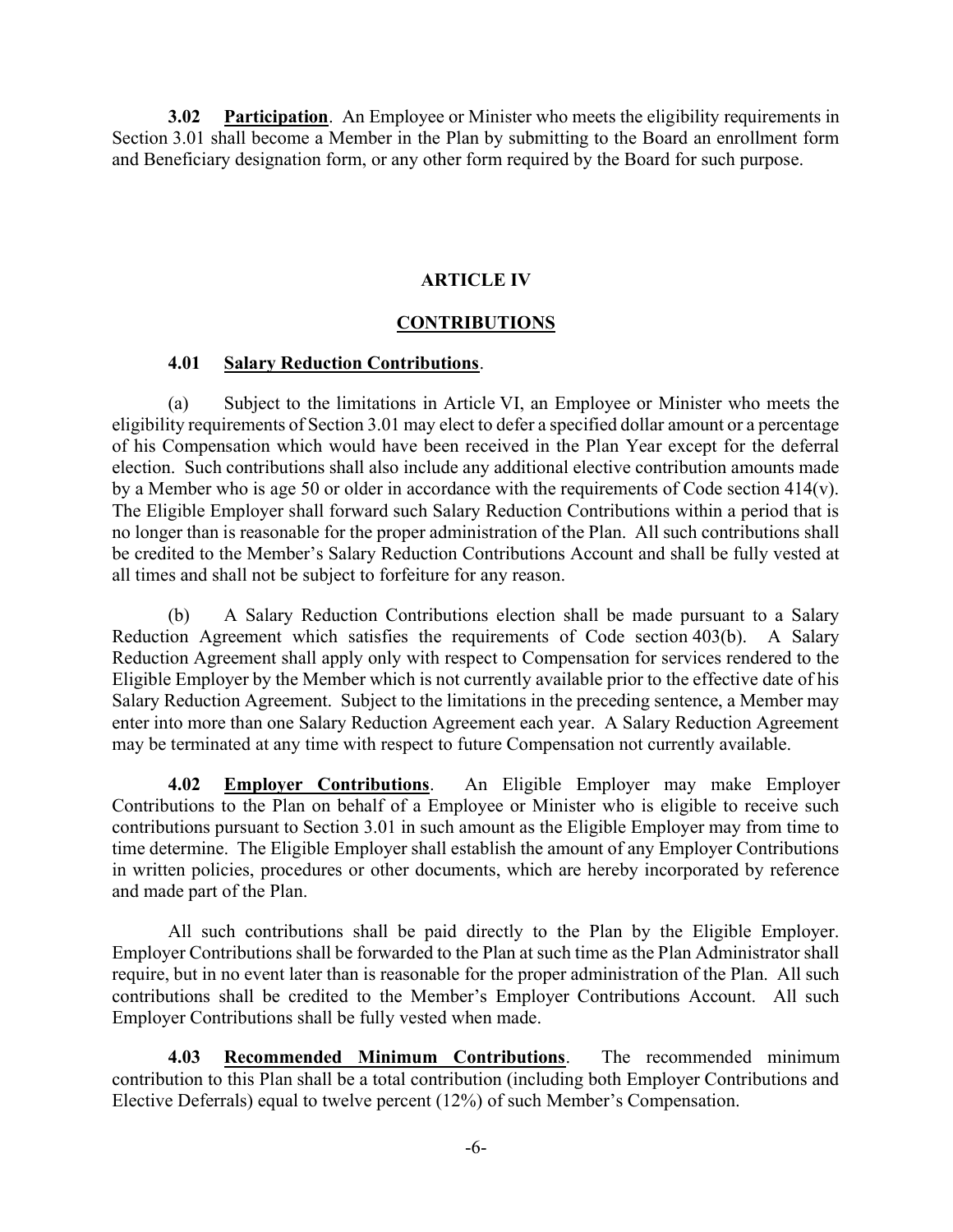3.02 Participation. An Employee or Minister who meets the eligibility requirements in Section 3.01 shall become a Member in the Plan by submitting to the Board an enrollment form and Beneficiary designation form, or any other form required by the Board for such purpose.

## ARTICLE IV

### **CONTRIBUTIONS**

### 4.01 Salary Reduction Contributions.

(a) Subject to the limitations in Article VI, an Employee or Minister who meets the eligibility requirements of Section 3.01 may elect to defer a specified dollar amount or a percentage of his Compensation which would have been received in the Plan Year except for the deferral election. Such contributions shall also include any additional elective contribution amounts made by a Member who is age 50 or older in accordance with the requirements of Code section 414(v). The Eligible Employer shall forward such Salary Reduction Contributions within a period that is no longer than is reasonable for the proper administration of the Plan. All such contributions shall be credited to the Member's Salary Reduction Contributions Account and shall be fully vested at all times and shall not be subject to forfeiture for any reason.

(b) A Salary Reduction Contributions election shall be made pursuant to a Salary Reduction Agreement which satisfies the requirements of Code section 403(b). A Salary Reduction Agreement shall apply only with respect to Compensation for services rendered to the Eligible Employer by the Member which is not currently available prior to the effective date of his Salary Reduction Agreement. Subject to the limitations in the preceding sentence, a Member may enter into more than one Salary Reduction Agreement each year. A Salary Reduction Agreement may be terminated at any time with respect to future Compensation not currently available.

4.02 Employer Contributions. An Eligible Employer may make Employer Contributions to the Plan on behalf of a Employee or Minister who is eligible to receive such contributions pursuant to Section 3.01 in such amount as the Eligible Employer may from time to time determine. The Eligible Employer shall establish the amount of any Employer Contributions in written policies, procedures or other documents, which are hereby incorporated by reference and made part of the Plan.

All such contributions shall be paid directly to the Plan by the Eligible Employer. Employer Contributions shall be forwarded to the Plan at such time as the Plan Administrator shall require, but in no event later than is reasonable for the proper administration of the Plan. All such contributions shall be credited to the Member's Employer Contributions Account. All such Employer Contributions shall be fully vested when made.

4.03 Recommended Minimum Contributions. The recommended minimum contribution to this Plan shall be a total contribution (including both Employer Contributions and Elective Deferrals) equal to twelve percent (12%) of such Member's Compensation.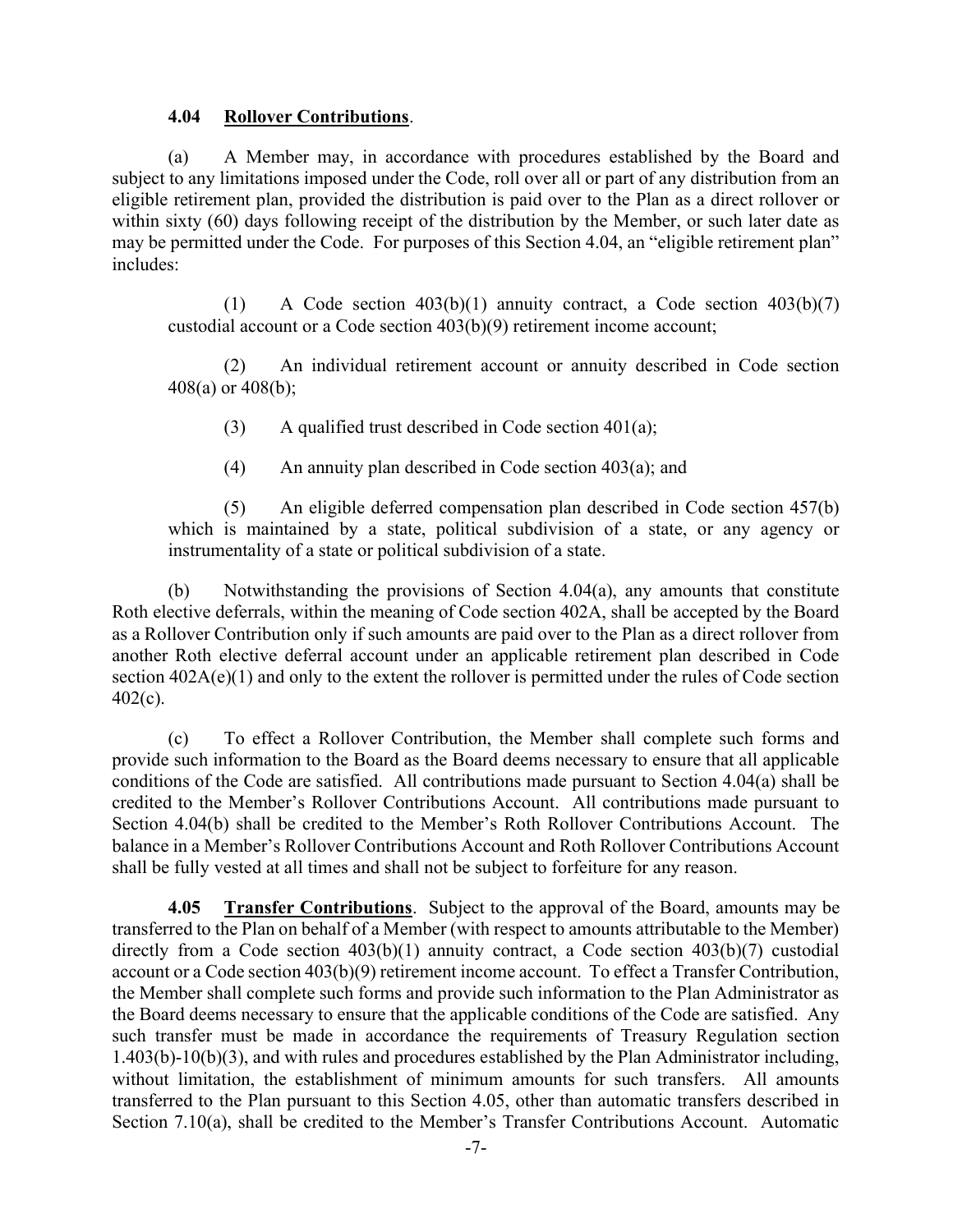### 4.04 Rollover Contributions.

(a) A Member may, in accordance with procedures established by the Board and subject to any limitations imposed under the Code, roll over all or part of any distribution from an eligible retirement plan, provided the distribution is paid over to the Plan as a direct rollover or within sixty (60) days following receipt of the distribution by the Member, or such later date as may be permitted under the Code. For purposes of this Section 4.04, an "eligible retirement plan" includes:

(1) A Code section  $403(b)(1)$  annuity contract, a Code section  $403(b)(7)$ custodial account or a Code section 403(b)(9) retirement income account;

(2) An individual retirement account or annuity described in Code section 408(a) or 408(b);

(3) A qualified trust described in Code section  $401(a)$ ;

(4) An annuity plan described in Code section 403(a); and

(5) An eligible deferred compensation plan described in Code section 457(b) which is maintained by a state, political subdivision of a state, or any agency or instrumentality of a state or political subdivision of a state.

(b) Notwithstanding the provisions of Section 4.04(a), any amounts that constitute Roth elective deferrals, within the meaning of Code section 402A, shall be accepted by the Board as a Rollover Contribution only if such amounts are paid over to the Plan as a direct rollover from another Roth elective deferral account under an applicable retirement plan described in Code section  $402A(e)(1)$  and only to the extent the rollover is permitted under the rules of Code section 402(c).

(c) To effect a Rollover Contribution, the Member shall complete such forms and provide such information to the Board as the Board deems necessary to ensure that all applicable conditions of the Code are satisfied. All contributions made pursuant to Section 4.04(a) shall be credited to the Member's Rollover Contributions Account. All contributions made pursuant to Section 4.04(b) shall be credited to the Member's Roth Rollover Contributions Account. The balance in a Member's Rollover Contributions Account and Roth Rollover Contributions Account shall be fully vested at all times and shall not be subject to forfeiture for any reason.

4.05 Transfer Contributions. Subject to the approval of the Board, amounts may be transferred to the Plan on behalf of a Member (with respect to amounts attributable to the Member) directly from a Code section 403(b)(1) annuity contract, a Code section 403(b)(7) custodial account or a Code section 403(b)(9) retirement income account. To effect a Transfer Contribution, the Member shall complete such forms and provide such information to the Plan Administrator as the Board deems necessary to ensure that the applicable conditions of the Code are satisfied. Any such transfer must be made in accordance the requirements of Treasury Regulation section 1.403(b)-10(b)(3), and with rules and procedures established by the Plan Administrator including, without limitation, the establishment of minimum amounts for such transfers. All amounts transferred to the Plan pursuant to this Section 4.05, other than automatic transfers described in Section 7.10(a), shall be credited to the Member's Transfer Contributions Account. Automatic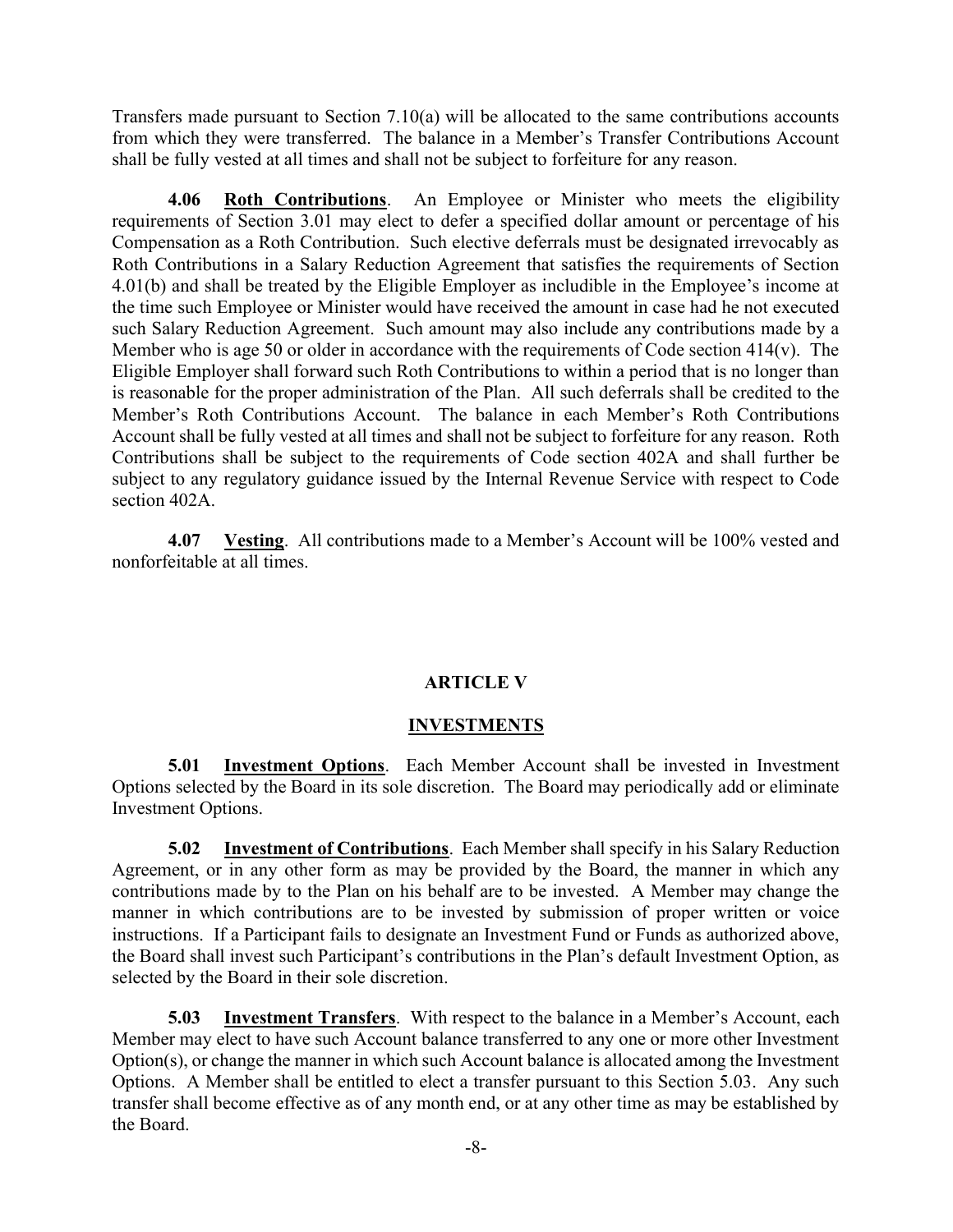Transfers made pursuant to Section 7.10(a) will be allocated to the same contributions accounts from which they were transferred. The balance in a Member's Transfer Contributions Account shall be fully vested at all times and shall not be subject to forfeiture for any reason.

4.06 Roth Contributions. An Employee or Minister who meets the eligibility requirements of Section 3.01 may elect to defer a specified dollar amount or percentage of his Compensation as a Roth Contribution. Such elective deferrals must be designated irrevocably as Roth Contributions in a Salary Reduction Agreement that satisfies the requirements of Section 4.01(b) and shall be treated by the Eligible Employer as includible in the Employee's income at the time such Employee or Minister would have received the amount in case had he not executed such Salary Reduction Agreement. Such amount may also include any contributions made by a Member who is age 50 or older in accordance with the requirements of Code section  $414(v)$ . The Eligible Employer shall forward such Roth Contributions to within a period that is no longer than is reasonable for the proper administration of the Plan. All such deferrals shall be credited to the Member's Roth Contributions Account. The balance in each Member's Roth Contributions Account shall be fully vested at all times and shall not be subject to forfeiture for any reason. Roth Contributions shall be subject to the requirements of Code section 402A and shall further be subject to any regulatory guidance issued by the Internal Revenue Service with respect to Code section 402A.

4.07 Vesting. All contributions made to a Member's Account will be 100% vested and nonforfeitable at all times.

### ARTICLE V

## **INVESTMENTS**

**5.01 Investment Options.** Each Member Account shall be invested in Investment Options selected by the Board in its sole discretion. The Board may periodically add or eliminate Investment Options.

5.02 Investment of Contributions. Each Member shall specify in his Salary Reduction Agreement, or in any other form as may be provided by the Board, the manner in which any contributions made by to the Plan on his behalf are to be invested. A Member may change the manner in which contributions are to be invested by submission of proper written or voice instructions. If a Participant fails to designate an Investment Fund or Funds as authorized above, the Board shall invest such Participant's contributions in the Plan's default Investment Option, as selected by the Board in their sole discretion.

5.03 Investment Transfers. With respect to the balance in a Member's Account, each Member may elect to have such Account balance transferred to any one or more other Investment Option(s), or change the manner in which such Account balance is allocated among the Investment Options. A Member shall be entitled to elect a transfer pursuant to this Section 5.03. Any such transfer shall become effective as of any month end, or at any other time as may be established by the Board.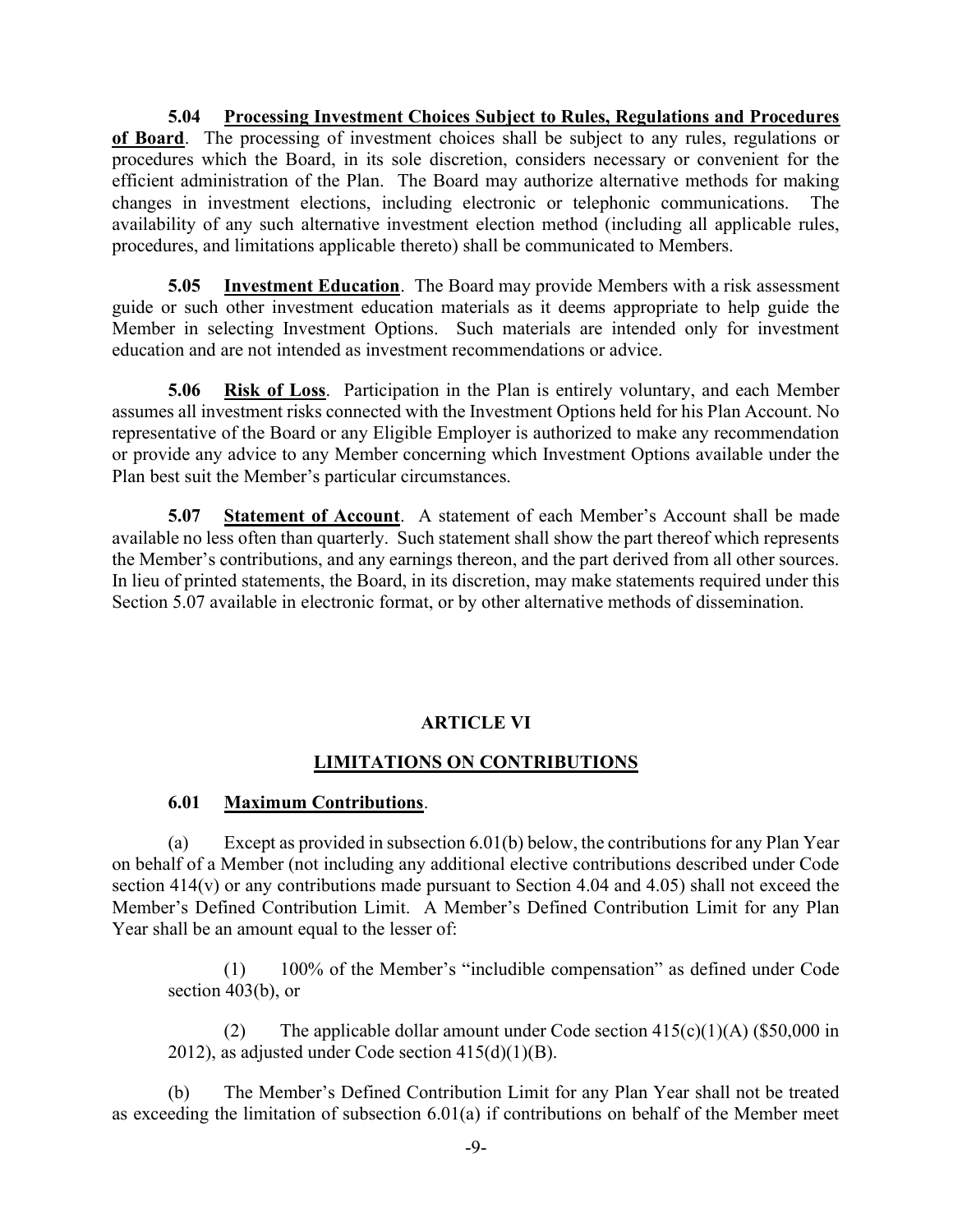5.04 Processing Investment Choices Subject to Rules, Regulations and Procedures of Board. The processing of investment choices shall be subject to any rules, regulations or procedures which the Board, in its sole discretion, considers necessary or convenient for the efficient administration of the Plan. The Board may authorize alternative methods for making changes in investment elections, including electronic or telephonic communications. The availability of any such alternative investment election method (including all applicable rules, procedures, and limitations applicable thereto) shall be communicated to Members.

5.05 Investment Education. The Board may provide Members with a risk assessment guide or such other investment education materials as it deems appropriate to help guide the Member in selecting Investment Options. Such materials are intended only for investment education and are not intended as investment recommendations or advice.

5.06 Risk of Loss. Participation in the Plan is entirely voluntary, and each Member assumes all investment risks connected with the Investment Options held for his Plan Account. No representative of the Board or any Eligible Employer is authorized to make any recommendation or provide any advice to any Member concerning which Investment Options available under the Plan best suit the Member's particular circumstances.

5.07 Statement of Account. A statement of each Member's Account shall be made available no less often than quarterly. Such statement shall show the part thereof which represents the Member's contributions, and any earnings thereon, and the part derived from all other sources. In lieu of printed statements, the Board, in its discretion, may make statements required under this Section 5.07 available in electronic format, or by other alternative methods of dissemination.

## ARTICLE VI

## LIMITATIONS ON CONTRIBUTIONS

## 6.01 Maximum Contributions.

(a) Except as provided in subsection 6.01(b) below, the contributions for any Plan Year on behalf of a Member (not including any additional elective contributions described under Code section 414(v) or any contributions made pursuant to Section 4.04 and 4.05) shall not exceed the Member's Defined Contribution Limit. A Member's Defined Contribution Limit for any Plan Year shall be an amount equal to the lesser of:

(1) 100% of the Member's "includible compensation" as defined under Code section 403(b), or

(2) The applicable dollar amount under Code section  $415(c)(1)(A)$  (\$50,000 in 2012), as adjusted under Code section 415(d)(1)(B).

(b) The Member's Defined Contribution Limit for any Plan Year shall not be treated as exceeding the limitation of subsection 6.01(a) if contributions on behalf of the Member meet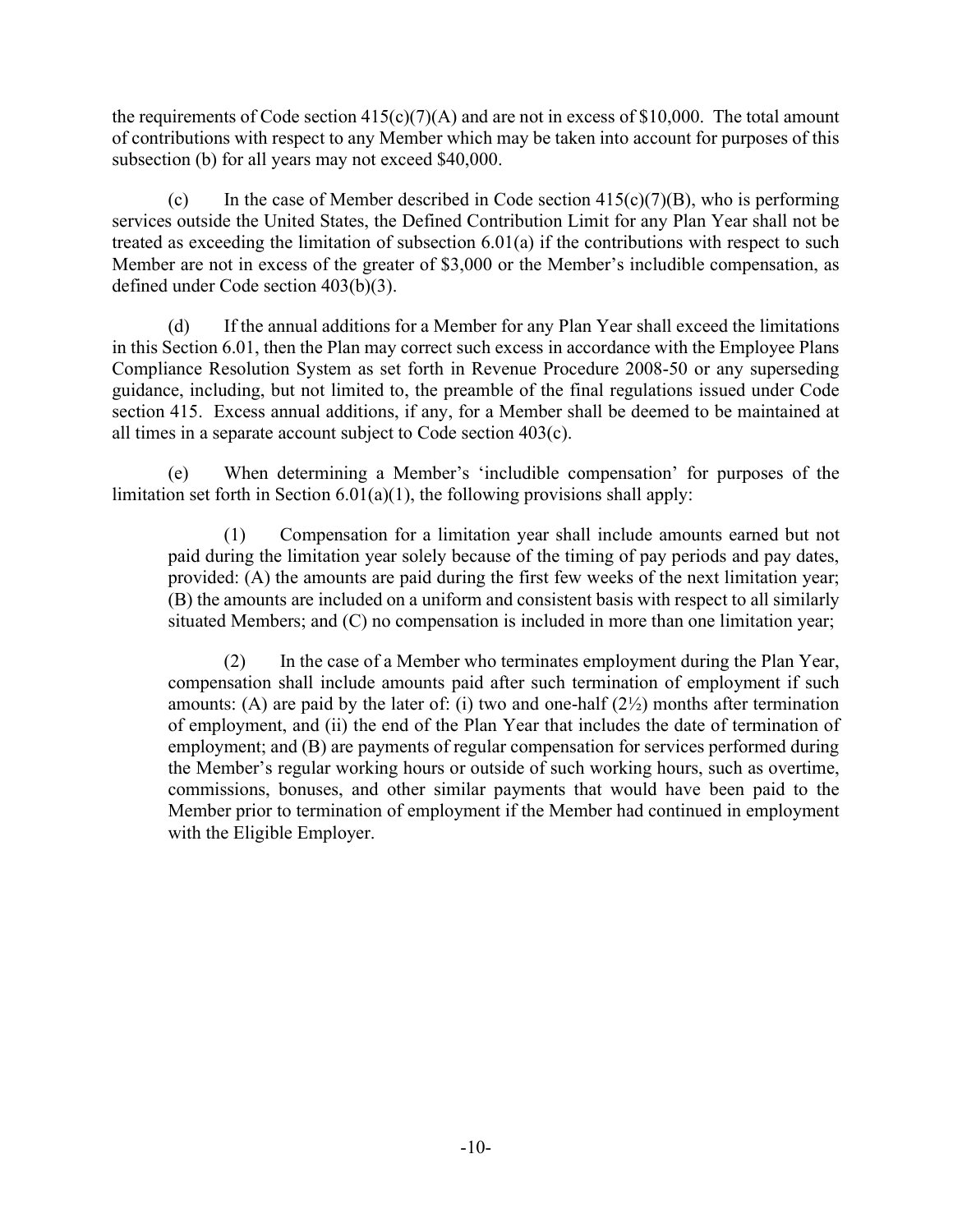the requirements of Code section  $415(c)(7)(A)$  and are not in excess of \$10,000. The total amount of contributions with respect to any Member which may be taken into account for purposes of this subsection (b) for all years may not exceed \$40,000.

(c) In the case of Member described in Code section  $415(c)(7)(B)$ , who is performing services outside the United States, the Defined Contribution Limit for any Plan Year shall not be treated as exceeding the limitation of subsection 6.01(a) if the contributions with respect to such Member are not in excess of the greater of \$3,000 or the Member's includible compensation, as defined under Code section 403(b)(3).

(d) If the annual additions for a Member for any Plan Year shall exceed the limitations in this Section 6.01, then the Plan may correct such excess in accordance with the Employee Plans Compliance Resolution System as set forth in Revenue Procedure 2008-50 or any superseding guidance, including, but not limited to, the preamble of the final regulations issued under Code section 415. Excess annual additions, if any, for a Member shall be deemed to be maintained at all times in a separate account subject to Code section 403(c).

(e) When determining a Member's 'includible compensation' for purposes of the limitation set forth in Section  $6.01(a)(1)$ , the following provisions shall apply:

(1) Compensation for a limitation year shall include amounts earned but not paid during the limitation year solely because of the timing of pay periods and pay dates, provided: (A) the amounts are paid during the first few weeks of the next limitation year; (B) the amounts are included on a uniform and consistent basis with respect to all similarly situated Members; and (C) no compensation is included in more than one limitation year;

(2) In the case of a Member who terminates employment during the Plan Year, compensation shall include amounts paid after such termination of employment if such amounts: (A) are paid by the later of: (i) two and one-half  $(2<sup>1</sup>/<sub>2</sub>)$  months after termination of employment, and (ii) the end of the Plan Year that includes the date of termination of employment; and (B) are payments of regular compensation for services performed during the Member's regular working hours or outside of such working hours, such as overtime, commissions, bonuses, and other similar payments that would have been paid to the Member prior to termination of employment if the Member had continued in employment with the Eligible Employer.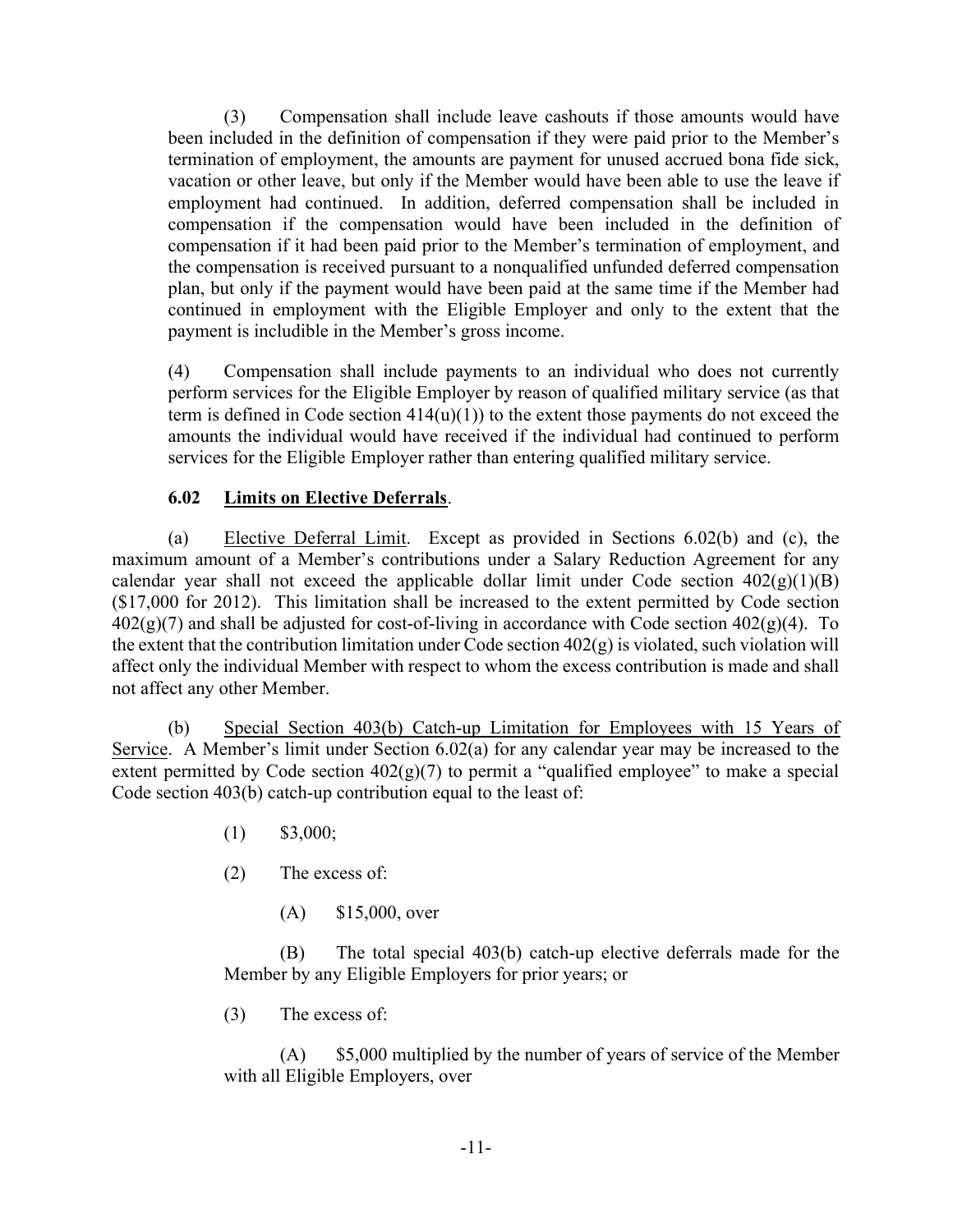(3) Compensation shall include leave cashouts if those amounts would have been included in the definition of compensation if they were paid prior to the Member's termination of employment, the amounts are payment for unused accrued bona fide sick, vacation or other leave, but only if the Member would have been able to use the leave if employment had continued. In addition, deferred compensation shall be included in compensation if the compensation would have been included in the definition of compensation if it had been paid prior to the Member's termination of employment, and the compensation is received pursuant to a nonqualified unfunded deferred compensation plan, but only if the payment would have been paid at the same time if the Member had continued in employment with the Eligible Employer and only to the extent that the payment is includible in the Member's gross income.

(4) Compensation shall include payments to an individual who does not currently perform services for the Eligible Employer by reason of qualified military service (as that term is defined in Code section  $414(u)(1)$  to the extent those payments do not exceed the amounts the individual would have received if the individual had continued to perform services for the Eligible Employer rather than entering qualified military service.

# 6.02 Limits on Elective Deferrals.

(a) Elective Deferral Limit. Except as provided in Sections 6.02(b) and (c), the maximum amount of a Member's contributions under a Salary Reduction Agreement for any calendar year shall not exceed the applicable dollar limit under Code section  $402(g)(1)(B)$ (\$17,000 for 2012). This limitation shall be increased to the extent permitted by Code section  $402(g)(7)$  and shall be adjusted for cost-of-living in accordance with Code section  $402(g)(4)$ . To the extent that the contribution limitation under Code section 402(g) is violated, such violation will affect only the individual Member with respect to whom the excess contribution is made and shall not affect any other Member.

(b) Special Section 403(b) Catch-up Limitation for Employees with 15 Years of Service. A Member's limit under Section 6.02(a) for any calendar year may be increased to the extent permitted by Code section  $402(g)(7)$  to permit a "qualified employee" to make a special Code section 403(b) catch-up contribution equal to the least of:

- $(1)$  \$3,000;
- (2) The excess of:
	- (A) \$15,000, over

(B) The total special 403(b) catch-up elective deferrals made for the Member by any Eligible Employers for prior years; or

(3) The excess of:

(A) \$5,000 multiplied by the number of years of service of the Member with all Eligible Employers, over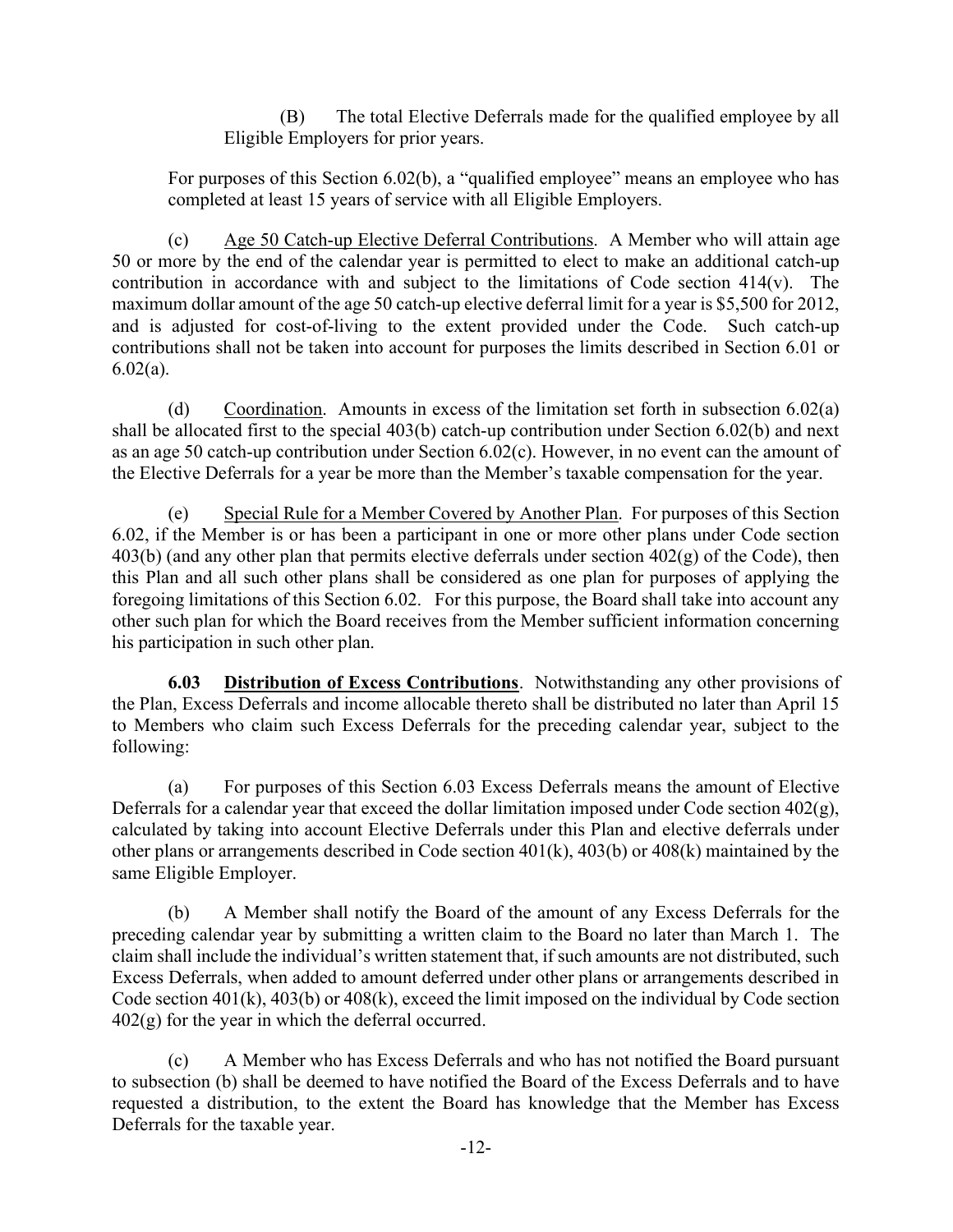(B) The total Elective Deferrals made for the qualified employee by all Eligible Employers for prior years.

For purposes of this Section 6.02(b), a "qualified employee" means an employee who has completed at least 15 years of service with all Eligible Employers.

(c) Age 50 Catch-up Elective Deferral Contributions. A Member who will attain age 50 or more by the end of the calendar year is permitted to elect to make an additional catch-up contribution in accordance with and subject to the limitations of Code section 414(v). The maximum dollar amount of the age 50 catch-up elective deferral limit for a year is \$5,500 for 2012, and is adjusted for cost-of-living to the extent provided under the Code. Such catch-up contributions shall not be taken into account for purposes the limits described in Section 6.01 or  $6.02(a)$ .

(d) Coordination. Amounts in excess of the limitation set forth in subsection 6.02(a) shall be allocated first to the special 403(b) catch-up contribution under Section 6.02(b) and next as an age 50 catch-up contribution under Section 6.02(c). However, in no event can the amount of the Elective Deferrals for a year be more than the Member's taxable compensation for the year.

(e) Special Rule for a Member Covered by Another Plan. For purposes of this Section 6.02, if the Member is or has been a participant in one or more other plans under Code section  $403(b)$  (and any other plan that permits elective deferrals under section  $402(g)$  of the Code), then this Plan and all such other plans shall be considered as one plan for purposes of applying the foregoing limitations of this Section 6.02. For this purpose, the Board shall take into account any other such plan for which the Board receives from the Member sufficient information concerning his participation in such other plan.

**6.03** Distribution of Excess Contributions. Notwithstanding any other provisions of the Plan, Excess Deferrals and income allocable thereto shall be distributed no later than April 15 to Members who claim such Excess Deferrals for the preceding calendar year, subject to the following:

(a) For purposes of this Section 6.03 Excess Deferrals means the amount of Elective Deferrals for a calendar year that exceed the dollar limitation imposed under Code section  $402(g)$ , calculated by taking into account Elective Deferrals under this Plan and elective deferrals under other plans or arrangements described in Code section 401(k), 403(b) or 408(k) maintained by the same Eligible Employer.

(b) A Member shall notify the Board of the amount of any Excess Deferrals for the preceding calendar year by submitting a written claim to the Board no later than March 1. The claim shall include the individual's written statement that, if such amounts are not distributed, such Excess Deferrals, when added to amount deferred under other plans or arrangements described in Code section 401(k), 403(b) or 408(k), exceed the limit imposed on the individual by Code section  $402(g)$  for the year in which the deferral occurred.

(c) A Member who has Excess Deferrals and who has not notified the Board pursuant to subsection (b) shall be deemed to have notified the Board of the Excess Deferrals and to have requested a distribution, to the extent the Board has knowledge that the Member has Excess Deferrals for the taxable year.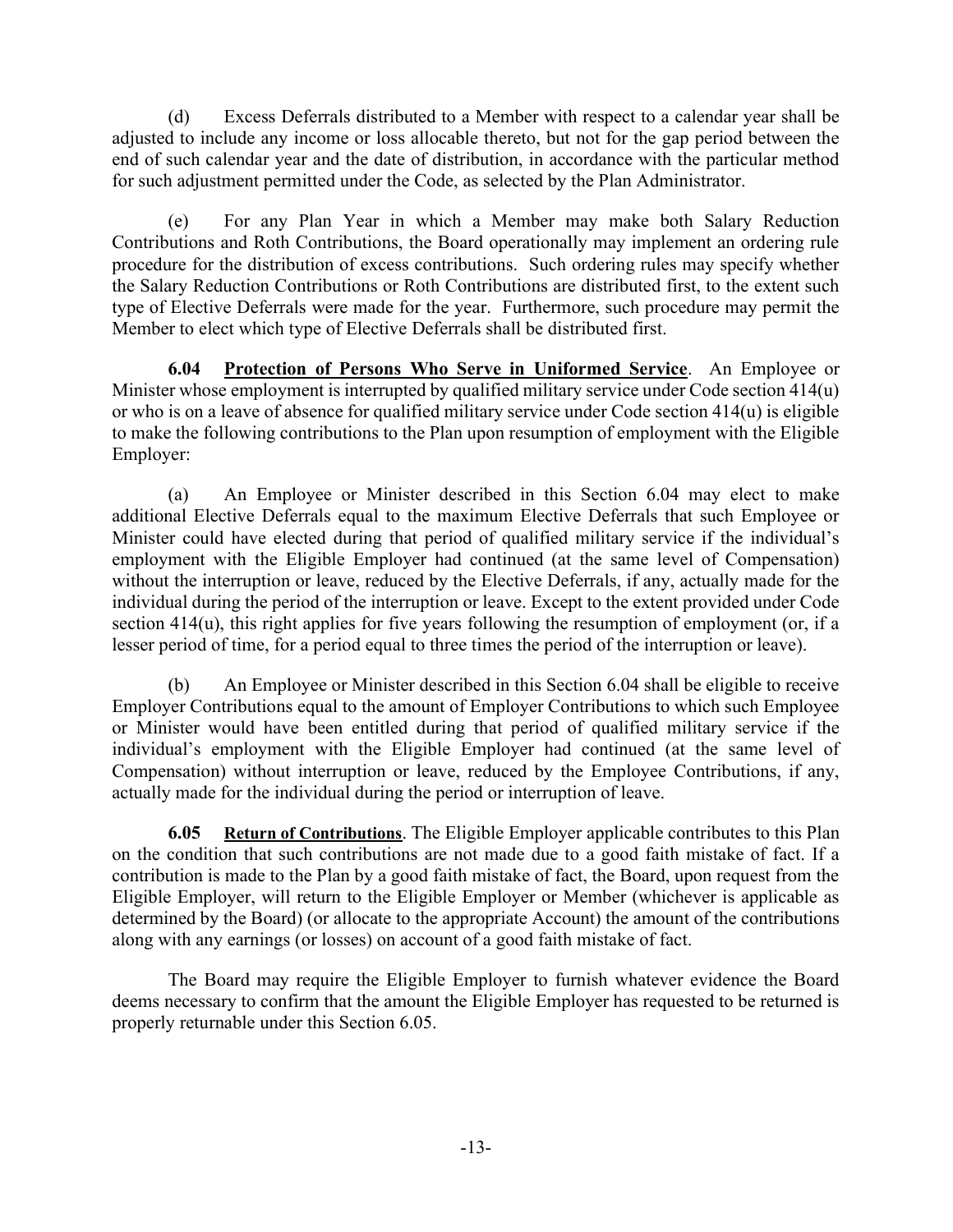(d) Excess Deferrals distributed to a Member with respect to a calendar year shall be adjusted to include any income or loss allocable thereto, but not for the gap period between the end of such calendar year and the date of distribution, in accordance with the particular method for such adjustment permitted under the Code, as selected by the Plan Administrator.

(e) For any Plan Year in which a Member may make both Salary Reduction Contributions and Roth Contributions, the Board operationally may implement an ordering rule procedure for the distribution of excess contributions. Such ordering rules may specify whether the Salary Reduction Contributions or Roth Contributions are distributed first, to the extent such type of Elective Deferrals were made for the year. Furthermore, such procedure may permit the Member to elect which type of Elective Deferrals shall be distributed first.

6.04 Protection of Persons Who Serve in Uniformed Service. An Employee or Minister whose employment is interrupted by qualified military service under Code section 414(u) or who is on a leave of absence for qualified military service under Code section 414(u) is eligible to make the following contributions to the Plan upon resumption of employment with the Eligible Employer:

(a) An Employee or Minister described in this Section 6.04 may elect to make additional Elective Deferrals equal to the maximum Elective Deferrals that such Employee or Minister could have elected during that period of qualified military service if the individual's employment with the Eligible Employer had continued (at the same level of Compensation) without the interruption or leave, reduced by the Elective Deferrals, if any, actually made for the individual during the period of the interruption or leave. Except to the extent provided under Code section 414(u), this right applies for five years following the resumption of employment (or, if a lesser period of time, for a period equal to three times the period of the interruption or leave).

(b) An Employee or Minister described in this Section 6.04 shall be eligible to receive Employer Contributions equal to the amount of Employer Contributions to which such Employee or Minister would have been entitled during that period of qualified military service if the individual's employment with the Eligible Employer had continued (at the same level of Compensation) without interruption or leave, reduced by the Employee Contributions, if any, actually made for the individual during the period or interruption of leave.

6.05 Return of Contributions. The Eligible Employer applicable contributes to this Plan on the condition that such contributions are not made due to a good faith mistake of fact. If a contribution is made to the Plan by a good faith mistake of fact, the Board, upon request from the Eligible Employer, will return to the Eligible Employer or Member (whichever is applicable as determined by the Board) (or allocate to the appropriate Account) the amount of the contributions along with any earnings (or losses) on account of a good faith mistake of fact.

The Board may require the Eligible Employer to furnish whatever evidence the Board deems necessary to confirm that the amount the Eligible Employer has requested to be returned is properly returnable under this Section 6.05.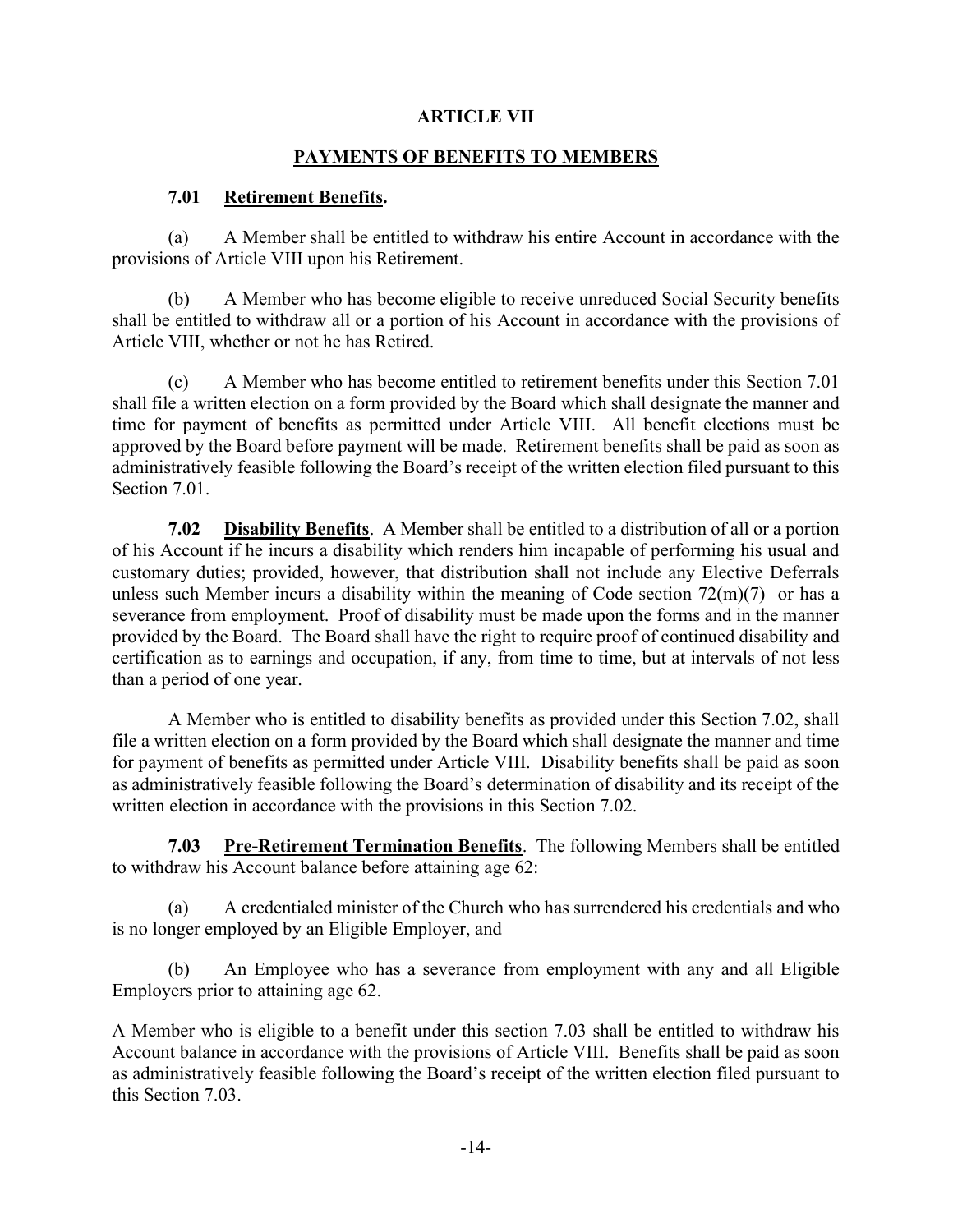## ARTICLE VII

### PAYMENTS OF BENEFITS TO MEMBERS

### 7.01 Retirement Benefits.

(a) A Member shall be entitled to withdraw his entire Account in accordance with the provisions of Article VIII upon his Retirement.

(b) A Member who has become eligible to receive unreduced Social Security benefits shall be entitled to withdraw all or a portion of his Account in accordance with the provisions of Article VIII, whether or not he has Retired.

(c) A Member who has become entitled to retirement benefits under this Section 7.01 shall file a written election on a form provided by the Board which shall designate the manner and time for payment of benefits as permitted under Article VIII. All benefit elections must be approved by the Board before payment will be made. Retirement benefits shall be paid as soon as administratively feasible following the Board's receipt of the written election filed pursuant to this Section 7.01.

7.02 Disability Benefits. A Member shall be entitled to a distribution of all or a portion of his Account if he incurs a disability which renders him incapable of performing his usual and customary duties; provided, however, that distribution shall not include any Elective Deferrals unless such Member incurs a disability within the meaning of Code section  $72(m)(7)$  or has a severance from employment. Proof of disability must be made upon the forms and in the manner provided by the Board. The Board shall have the right to require proof of continued disability and certification as to earnings and occupation, if any, from time to time, but at intervals of not less than a period of one year.

A Member who is entitled to disability benefits as provided under this Section 7.02, shall file a written election on a form provided by the Board which shall designate the manner and time for payment of benefits as permitted under Article VIII. Disability benefits shall be paid as soon as administratively feasible following the Board's determination of disability and its receipt of the written election in accordance with the provisions in this Section 7.02.

7.03 Pre-Retirement Termination Benefits. The following Members shall be entitled to withdraw his Account balance before attaining age 62:

(a) A credentialed minister of the Church who has surrendered his credentials and who is no longer employed by an Eligible Employer, and

(b) An Employee who has a severance from employment with any and all Eligible Employers prior to attaining age 62.

A Member who is eligible to a benefit under this section 7.03 shall be entitled to withdraw his Account balance in accordance with the provisions of Article VIII. Benefits shall be paid as soon as administratively feasible following the Board's receipt of the written election filed pursuant to this Section 7.03.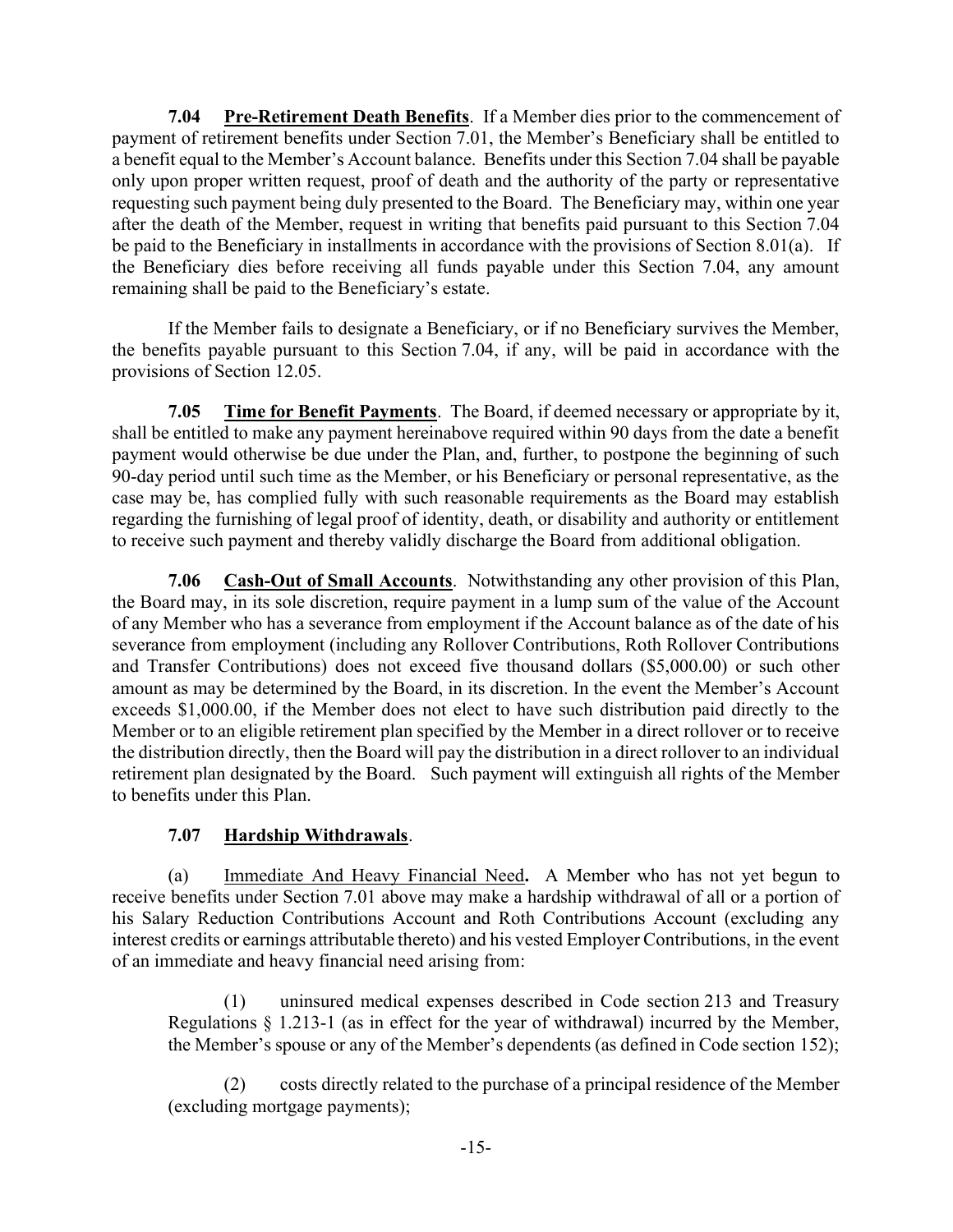7.04 Pre-Retirement Death Benefits. If a Member dies prior to the commencement of payment of retirement benefits under Section 7.01, the Member's Beneficiary shall be entitled to a benefit equal to the Member's Account balance. Benefits under this Section 7.04 shall be payable only upon proper written request, proof of death and the authority of the party or representative requesting such payment being duly presented to the Board. The Beneficiary may, within one year after the death of the Member, request in writing that benefits paid pursuant to this Section 7.04 be paid to the Beneficiary in installments in accordance with the provisions of Section 8.01(a). If the Beneficiary dies before receiving all funds payable under this Section 7.04, any amount remaining shall be paid to the Beneficiary's estate.

If the Member fails to designate a Beneficiary, or if no Beneficiary survives the Member, the benefits payable pursuant to this Section 7.04, if any, will be paid in accordance with the provisions of Section 12.05.

7.05 Time for Benefit Payments. The Board, if deemed necessary or appropriate by it, shall be entitled to make any payment hereinabove required within 90 days from the date a benefit payment would otherwise be due under the Plan, and, further, to postpone the beginning of such 90-day period until such time as the Member, or his Beneficiary or personal representative, as the case may be, has complied fully with such reasonable requirements as the Board may establish regarding the furnishing of legal proof of identity, death, or disability and authority or entitlement to receive such payment and thereby validly discharge the Board from additional obligation.

7.06 Cash-Out of Small Accounts. Notwithstanding any other provision of this Plan, the Board may, in its sole discretion, require payment in a lump sum of the value of the Account of any Member who has a severance from employment if the Account balance as of the date of his severance from employment (including any Rollover Contributions, Roth Rollover Contributions and Transfer Contributions) does not exceed five thousand dollars (\$5,000.00) or such other amount as may be determined by the Board, in its discretion. In the event the Member's Account exceeds \$1,000.00, if the Member does not elect to have such distribution paid directly to the Member or to an eligible retirement plan specified by the Member in a direct rollover or to receive the distribution directly, then the Board will pay the distribution in a direct rollover to an individual retirement plan designated by the Board. Such payment will extinguish all rights of the Member to benefits under this Plan.

# 7.07 Hardship Withdrawals.

(a) Immediate And Heavy Financial Need. A Member who has not yet begun to receive benefits under Section 7.01 above may make a hardship withdrawal of all or a portion of his Salary Reduction Contributions Account and Roth Contributions Account (excluding any interest credits or earnings attributable thereto) and his vested Employer Contributions, in the event of an immediate and heavy financial need arising from:

(1) uninsured medical expenses described in Code section 213 and Treasury Regulations § 1.213-1 (as in effect for the year of withdrawal) incurred by the Member, the Member's spouse or any of the Member's dependents (as defined in Code section 152);

(2) costs directly related to the purchase of a principal residence of the Member (excluding mortgage payments);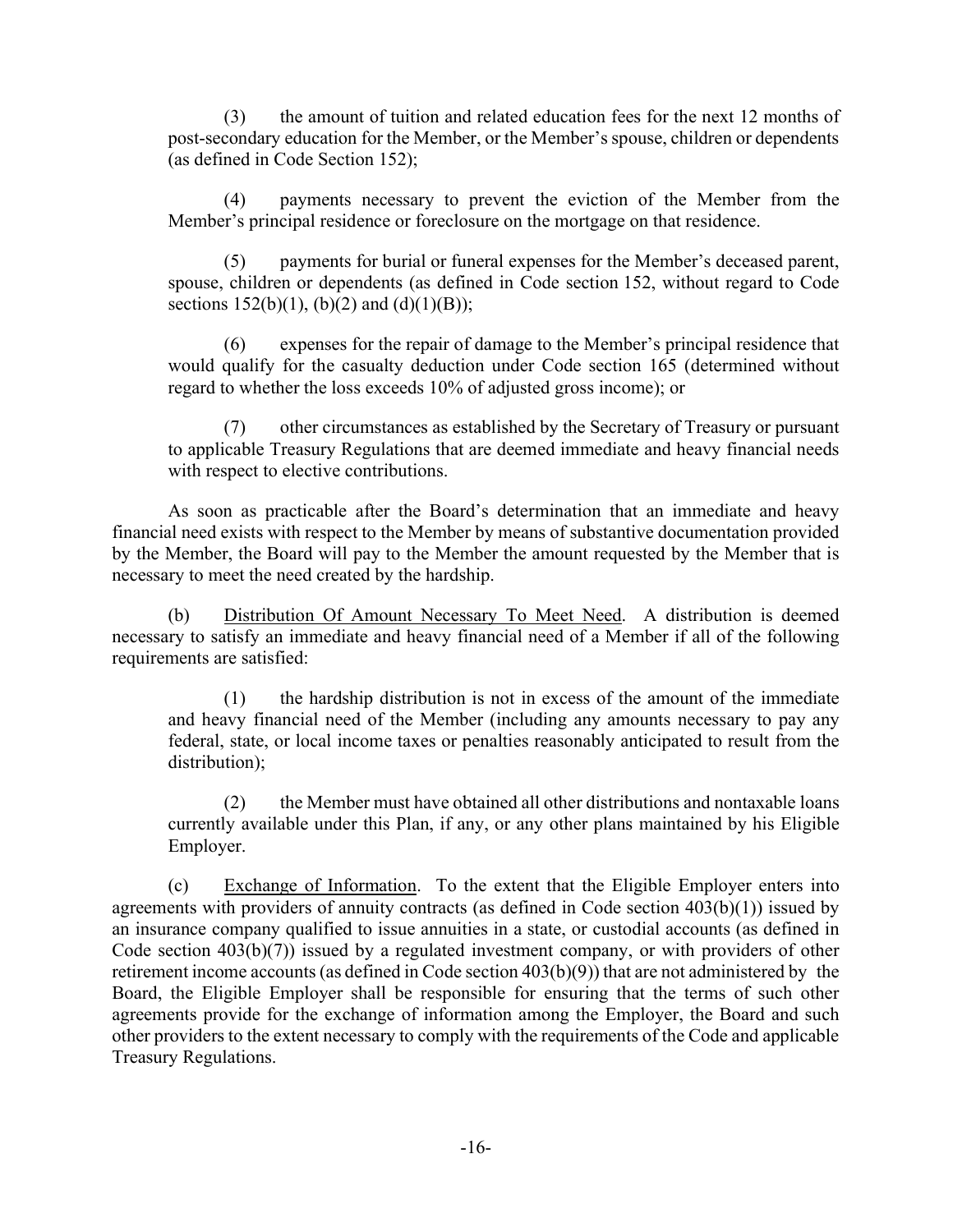(3) the amount of tuition and related education fees for the next 12 months of post-secondary education for the Member, or the Member's spouse, children or dependents (as defined in Code Section 152);

(4) payments necessary to prevent the eviction of the Member from the Member's principal residence or foreclosure on the mortgage on that residence.

(5) payments for burial or funeral expenses for the Member's deceased parent, spouse, children or dependents (as defined in Code section 152, without regard to Code sections  $152(b)(1)$ , (b)(2) and (d)(1)(B));

(6) expenses for the repair of damage to the Member's principal residence that would qualify for the casualty deduction under Code section 165 (determined without regard to whether the loss exceeds 10% of adjusted gross income); or

(7) other circumstances as established by the Secretary of Treasury or pursuant to applicable Treasury Regulations that are deemed immediate and heavy financial needs with respect to elective contributions.

As soon as practicable after the Board's determination that an immediate and heavy financial need exists with respect to the Member by means of substantive documentation provided by the Member, the Board will pay to the Member the amount requested by the Member that is necessary to meet the need created by the hardship.

(b) Distribution Of Amount Necessary To Meet Need. A distribution is deemed necessary to satisfy an immediate and heavy financial need of a Member if all of the following requirements are satisfied:

(1) the hardship distribution is not in excess of the amount of the immediate and heavy financial need of the Member (including any amounts necessary to pay any federal, state, or local income taxes or penalties reasonably anticipated to result from the distribution);

(2) the Member must have obtained all other distributions and nontaxable loans currently available under this Plan, if any, or any other plans maintained by his Eligible Employer.

(c) Exchange of Information. To the extent that the Eligible Employer enters into agreements with providers of annuity contracts (as defined in Code section 403(b)(1)) issued by an insurance company qualified to issue annuities in a state, or custodial accounts (as defined in Code section 403(b)(7)) issued by a regulated investment company, or with providers of other retirement income accounts (as defined in Code section 403(b)(9)) that are not administered by the Board, the Eligible Employer shall be responsible for ensuring that the terms of such other agreements provide for the exchange of information among the Employer, the Board and such other providers to the extent necessary to comply with the requirements of the Code and applicable Treasury Regulations.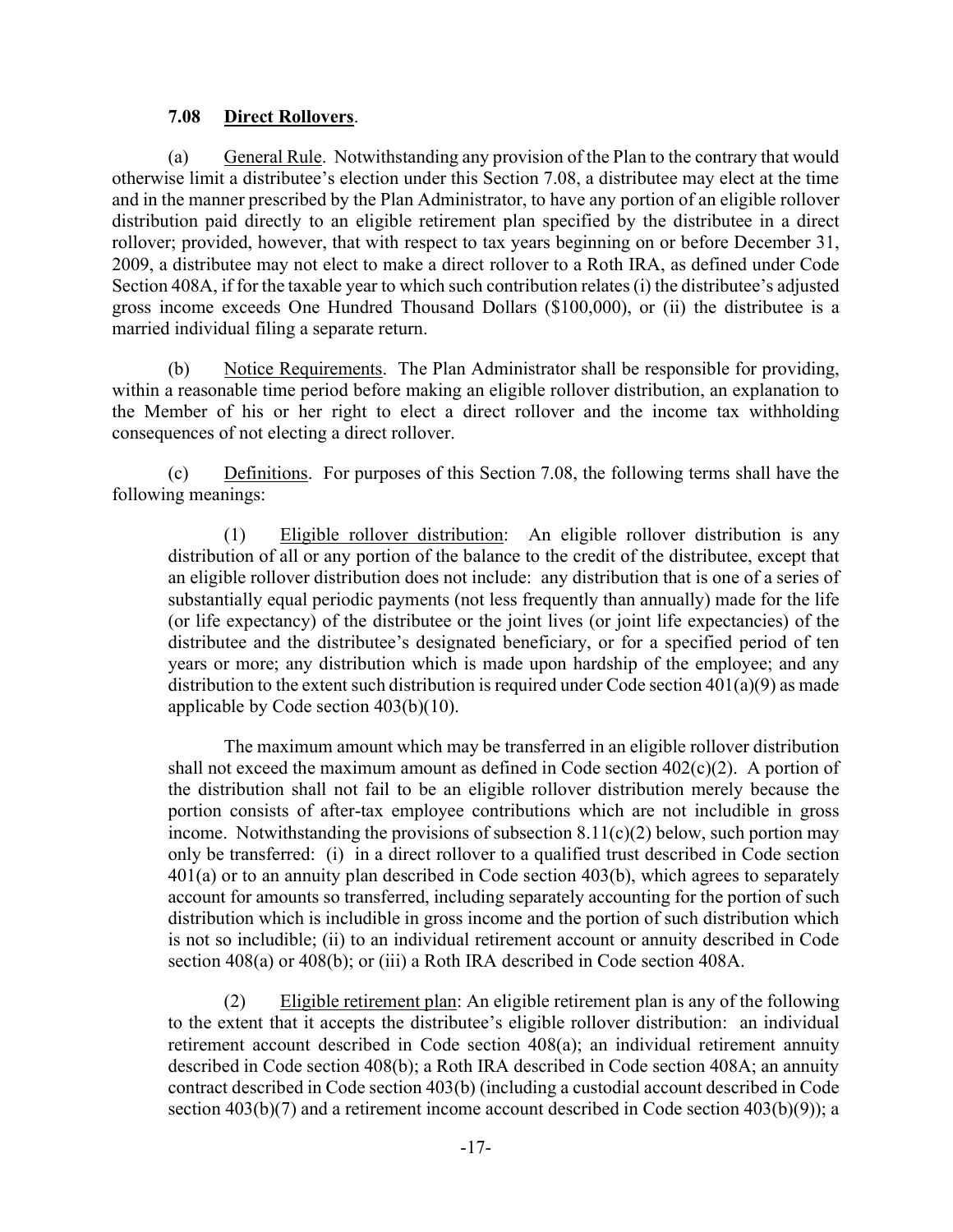### 7.08 Direct Rollovers.

(a) General Rule. Notwithstanding any provision of the Plan to the contrary that would otherwise limit a distributee's election under this Section 7.08, a distributee may elect at the time and in the manner prescribed by the Plan Administrator, to have any portion of an eligible rollover distribution paid directly to an eligible retirement plan specified by the distributee in a direct rollover; provided, however, that with respect to tax years beginning on or before December 31, 2009, a distributee may not elect to make a direct rollover to a Roth IRA, as defined under Code Section 408A, if for the taxable year to which such contribution relates (i) the distributee's adjusted gross income exceeds One Hundred Thousand Dollars (\$100,000), or (ii) the distributee is a married individual filing a separate return.

(b) Notice Requirements. The Plan Administrator shall be responsible for providing, within a reasonable time period before making an eligible rollover distribution, an explanation to the Member of his or her right to elect a direct rollover and the income tax withholding consequences of not electing a direct rollover.

(c) Definitions. For purposes of this Section 7.08, the following terms shall have the following meanings:

(1) Eligible rollover distribution: An eligible rollover distribution is any distribution of all or any portion of the balance to the credit of the distributee, except that an eligible rollover distribution does not include: any distribution that is one of a series of substantially equal periodic payments (not less frequently than annually) made for the life (or life expectancy) of the distributee or the joint lives (or joint life expectancies) of the distributee and the distributee's designated beneficiary, or for a specified period of ten years or more; any distribution which is made upon hardship of the employee; and any distribution to the extent such distribution is required under Code section 401(a)(9) as made applicable by Code section 403(b)(10).

The maximum amount which may be transferred in an eligible rollover distribution shall not exceed the maximum amount as defined in Code section  $402(c)(2)$ . A portion of the distribution shall not fail to be an eligible rollover distribution merely because the portion consists of after-tax employee contributions which are not includible in gross income. Notwithstanding the provisions of subsection  $8.11(c)(2)$  below, such portion may only be transferred: (i) in a direct rollover to a qualified trust described in Code section 401(a) or to an annuity plan described in Code section 403(b), which agrees to separately account for amounts so transferred, including separately accounting for the portion of such distribution which is includible in gross income and the portion of such distribution which is not so includible; (ii) to an individual retirement account or annuity described in Code section 408(a) or 408(b); or (iii) a Roth IRA described in Code section 408A.

(2) Eligible retirement plan: An eligible retirement plan is any of the following to the extent that it accepts the distributee's eligible rollover distribution: an individual retirement account described in Code section 408(a); an individual retirement annuity described in Code section 408(b); a Roth IRA described in Code section 408A; an annuity contract described in Code section 403(b) (including a custodial account described in Code section 403(b)(7) and a retirement income account described in Code section 403(b)(9)); a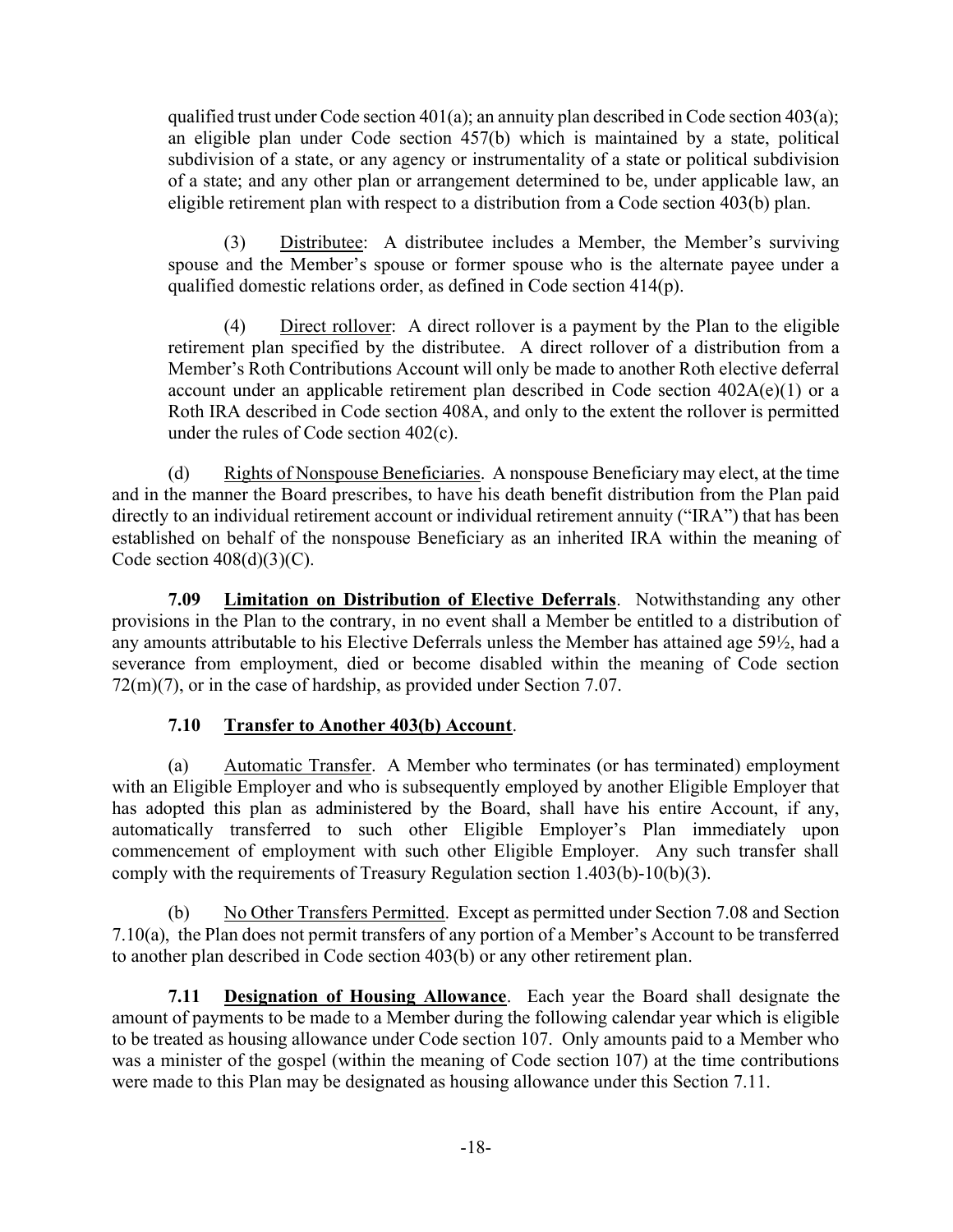qualified trust under Code section  $401(a)$ ; an annuity plan described in Code section  $403(a)$ ; an eligible plan under Code section 457(b) which is maintained by a state, political subdivision of a state, or any agency or instrumentality of a state or political subdivision of a state; and any other plan or arrangement determined to be, under applicable law, an eligible retirement plan with respect to a distribution from a Code section 403(b) plan.

(3) Distributee: A distributee includes a Member, the Member's surviving spouse and the Member's spouse or former spouse who is the alternate payee under a qualified domestic relations order, as defined in Code section 414(p).

(4) Direct rollover: A direct rollover is a payment by the Plan to the eligible retirement plan specified by the distributee. A direct rollover of a distribution from a Member's Roth Contributions Account will only be made to another Roth elective deferral account under an applicable retirement plan described in Code section  $402A(e)(1)$  or a Roth IRA described in Code section 408A, and only to the extent the rollover is permitted under the rules of Code section 402(c).

(d) Rights of Nonspouse Beneficiaries. A nonspouse Beneficiary may elect, at the time and in the manner the Board prescribes, to have his death benefit distribution from the Plan paid directly to an individual retirement account or individual retirement annuity ("IRA") that has been established on behalf of the nonspouse Beneficiary as an inherited IRA within the meaning of Code section  $408(d)(3)(C)$ .

7.09 Limitation on Distribution of Elective Deferrals. Notwithstanding any other provisions in the Plan to the contrary, in no event shall a Member be entitled to a distribution of any amounts attributable to his Elective Deferrals unless the Member has attained age 59½, had a severance from employment, died or become disabled within the meaning of Code section 72(m)(7), or in the case of hardship, as provided under Section 7.07.

## 7.10 Transfer to Another 403(b) Account.

(a) Automatic Transfer. A Member who terminates (or has terminated) employment with an Eligible Employer and who is subsequently employed by another Eligible Employer that has adopted this plan as administered by the Board, shall have his entire Account, if any, automatically transferred to such other Eligible Employer's Plan immediately upon commencement of employment with such other Eligible Employer. Any such transfer shall comply with the requirements of Treasury Regulation section 1.403(b)-10(b)(3).

(b) No Other Transfers Permitted. Except as permitted under Section 7.08 and Section 7.10(a), the Plan does not permit transfers of any portion of a Member's Account to be transferred to another plan described in Code section 403(b) or any other retirement plan.

7.11 Designation of Housing Allowance. Each year the Board shall designate the amount of payments to be made to a Member during the following calendar year which is eligible to be treated as housing allowance under Code section 107. Only amounts paid to a Member who was a minister of the gospel (within the meaning of Code section 107) at the time contributions were made to this Plan may be designated as housing allowance under this Section 7.11.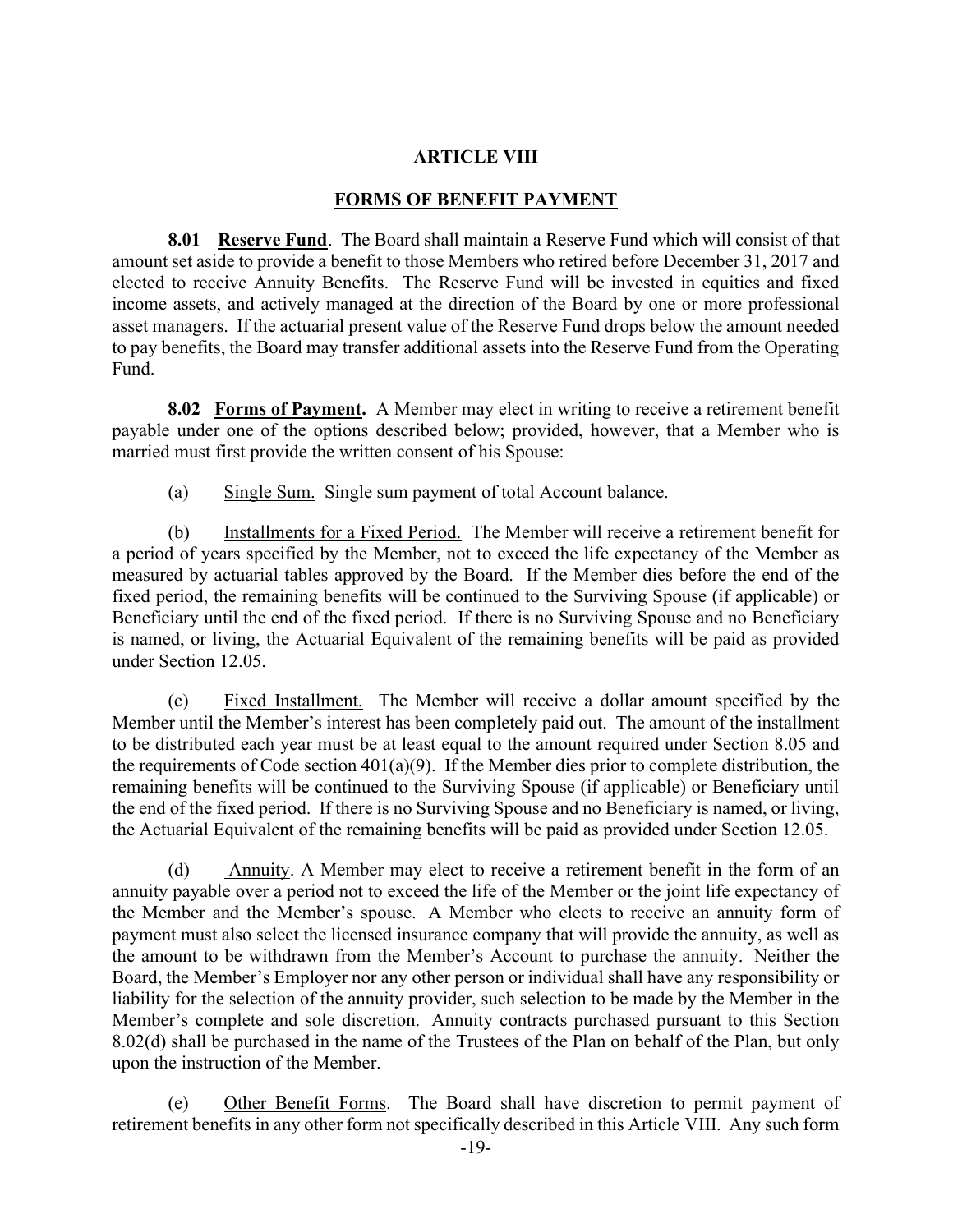### ARTICLE VIII

### FORMS OF BENEFIT PAYMENT

8.01 Reserve Fund. The Board shall maintain a Reserve Fund which will consist of that amount set aside to provide a benefit to those Members who retired before December 31, 2017 and elected to receive Annuity Benefits. The Reserve Fund will be invested in equities and fixed income assets, and actively managed at the direction of the Board by one or more professional asset managers. If the actuarial present value of the Reserve Fund drops below the amount needed to pay benefits, the Board may transfer additional assets into the Reserve Fund from the Operating Fund.

8.02 Forms of Payment. A Member may elect in writing to receive a retirement benefit payable under one of the options described below; provided, however, that a Member who is married must first provide the written consent of his Spouse:

(a) Single Sum. Single sum payment of total Account balance.

(b) Installments for a Fixed Period. The Member will receive a retirement benefit for a period of years specified by the Member, not to exceed the life expectancy of the Member as measured by actuarial tables approved by the Board. If the Member dies before the end of the fixed period, the remaining benefits will be continued to the Surviving Spouse (if applicable) or Beneficiary until the end of the fixed period. If there is no Surviving Spouse and no Beneficiary is named, or living, the Actuarial Equivalent of the remaining benefits will be paid as provided under Section 12.05.

(c) Fixed Installment. The Member will receive a dollar amount specified by the Member until the Member's interest has been completely paid out. The amount of the installment to be distributed each year must be at least equal to the amount required under Section 8.05 and the requirements of Code section 401(a)(9). If the Member dies prior to complete distribution, the remaining benefits will be continued to the Surviving Spouse (if applicable) or Beneficiary until the end of the fixed period. If there is no Surviving Spouse and no Beneficiary is named, or living, the Actuarial Equivalent of the remaining benefits will be paid as provided under Section 12.05.

(d) Annuity. A Member may elect to receive a retirement benefit in the form of an annuity payable over a period not to exceed the life of the Member or the joint life expectancy of the Member and the Member's spouse. A Member who elects to receive an annuity form of payment must also select the licensed insurance company that will provide the annuity, as well as the amount to be withdrawn from the Member's Account to purchase the annuity. Neither the Board, the Member's Employer nor any other person or individual shall have any responsibility or liability for the selection of the annuity provider, such selection to be made by the Member in the Member's complete and sole discretion. Annuity contracts purchased pursuant to this Section 8.02(d) shall be purchased in the name of the Trustees of the Plan on behalf of the Plan, but only upon the instruction of the Member.

(e) Other Benefit Forms. The Board shall have discretion to permit payment of retirement benefits in any other form not specifically described in this Article VIII. Any such form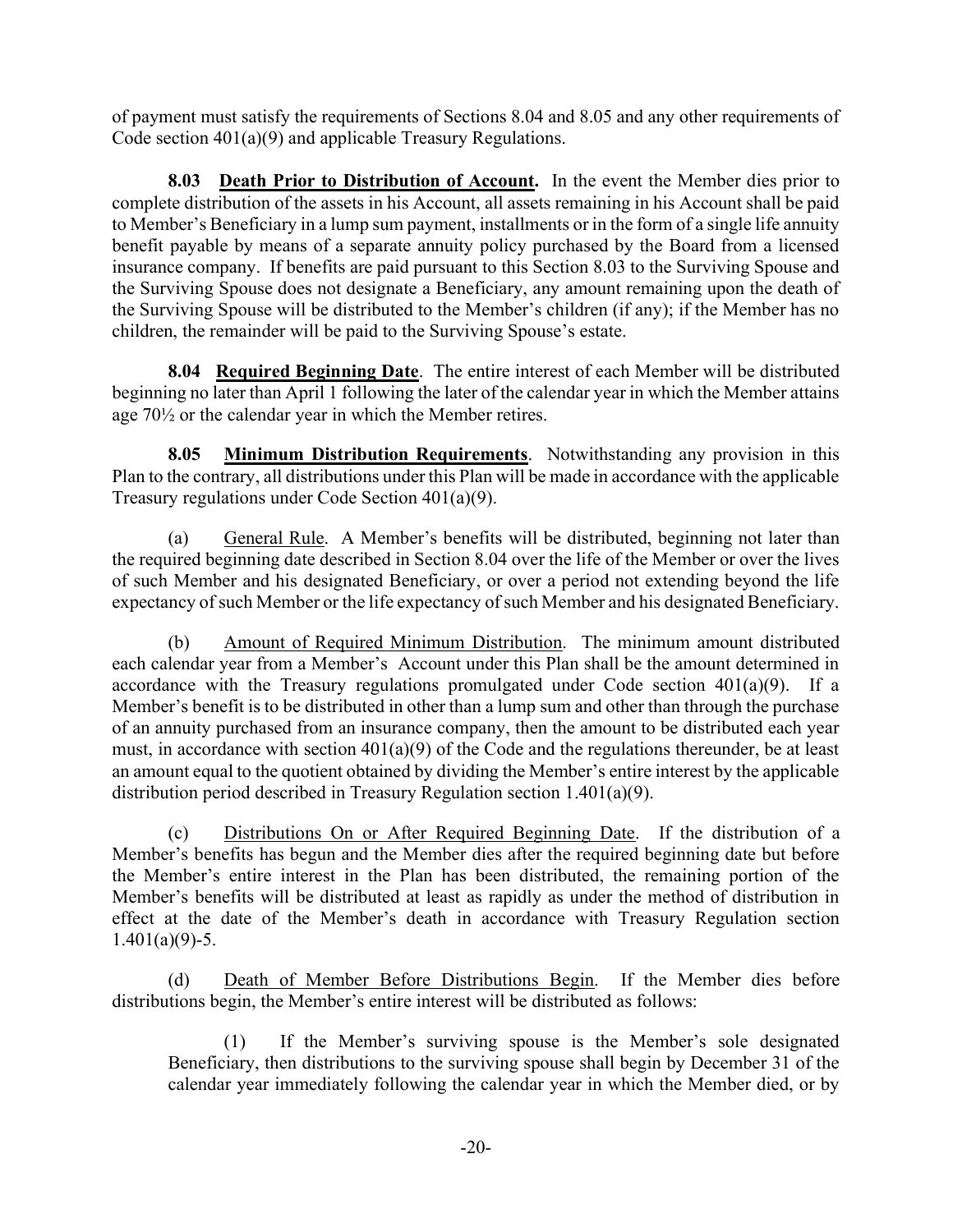of payment must satisfy the requirements of Sections 8.04 and 8.05 and any other requirements of Code section 401(a)(9) and applicable Treasury Regulations.

8.03 Death Prior to Distribution of Account. In the event the Member dies prior to complete distribution of the assets in his Account, all assets remaining in his Account shall be paid to Member's Beneficiary in a lump sum payment, installments or in the form of a single life annuity benefit payable by means of a separate annuity policy purchased by the Board from a licensed insurance company. If benefits are paid pursuant to this Section 8.03 to the Surviving Spouse and the Surviving Spouse does not designate a Beneficiary, any amount remaining upon the death of the Surviving Spouse will be distributed to the Member's children (if any); if the Member has no children, the remainder will be paid to the Surviving Spouse's estate.

8.04 Required Beginning Date. The entire interest of each Member will be distributed beginning no later than April 1 following the later of the calendar year in which the Member attains age 70½ or the calendar year in which the Member retires.

8.05 Minimum Distribution Requirements. Notwithstanding any provision in this Plan to the contrary, all distributions under this Plan will be made in accordance with the applicable Treasury regulations under Code Section 401(a)(9).

(a) General Rule. A Member's benefits will be distributed, beginning not later than the required beginning date described in Section 8.04 over the life of the Member or over the lives of such Member and his designated Beneficiary, or over a period not extending beyond the life expectancy of such Member or the life expectancy of such Member and his designated Beneficiary.

(b) Amount of Required Minimum Distribution. The minimum amount distributed each calendar year from a Member's Account under this Plan shall be the amount determined in accordance with the Treasury regulations promulgated under Code section  $401(a)(9)$ . If a Member's benefit is to be distributed in other than a lump sum and other than through the purchase of an annuity purchased from an insurance company, then the amount to be distributed each year must, in accordance with section 401(a)(9) of the Code and the regulations thereunder, be at least an amount equal to the quotient obtained by dividing the Member's entire interest by the applicable distribution period described in Treasury Regulation section 1.401(a)(9).

(c) Distributions On or After Required Beginning Date. If the distribution of a Member's benefits has begun and the Member dies after the required beginning date but before the Member's entire interest in the Plan has been distributed, the remaining portion of the Member's benefits will be distributed at least as rapidly as under the method of distribution in effect at the date of the Member's death in accordance with Treasury Regulation section  $1.401(a)(9) - 5.$ 

(d) Death of Member Before Distributions Begin. If the Member dies before distributions begin, the Member's entire interest will be distributed as follows:

(1) If the Member's surviving spouse is the Member's sole designated Beneficiary, then distributions to the surviving spouse shall begin by December 31 of the calendar year immediately following the calendar year in which the Member died, or by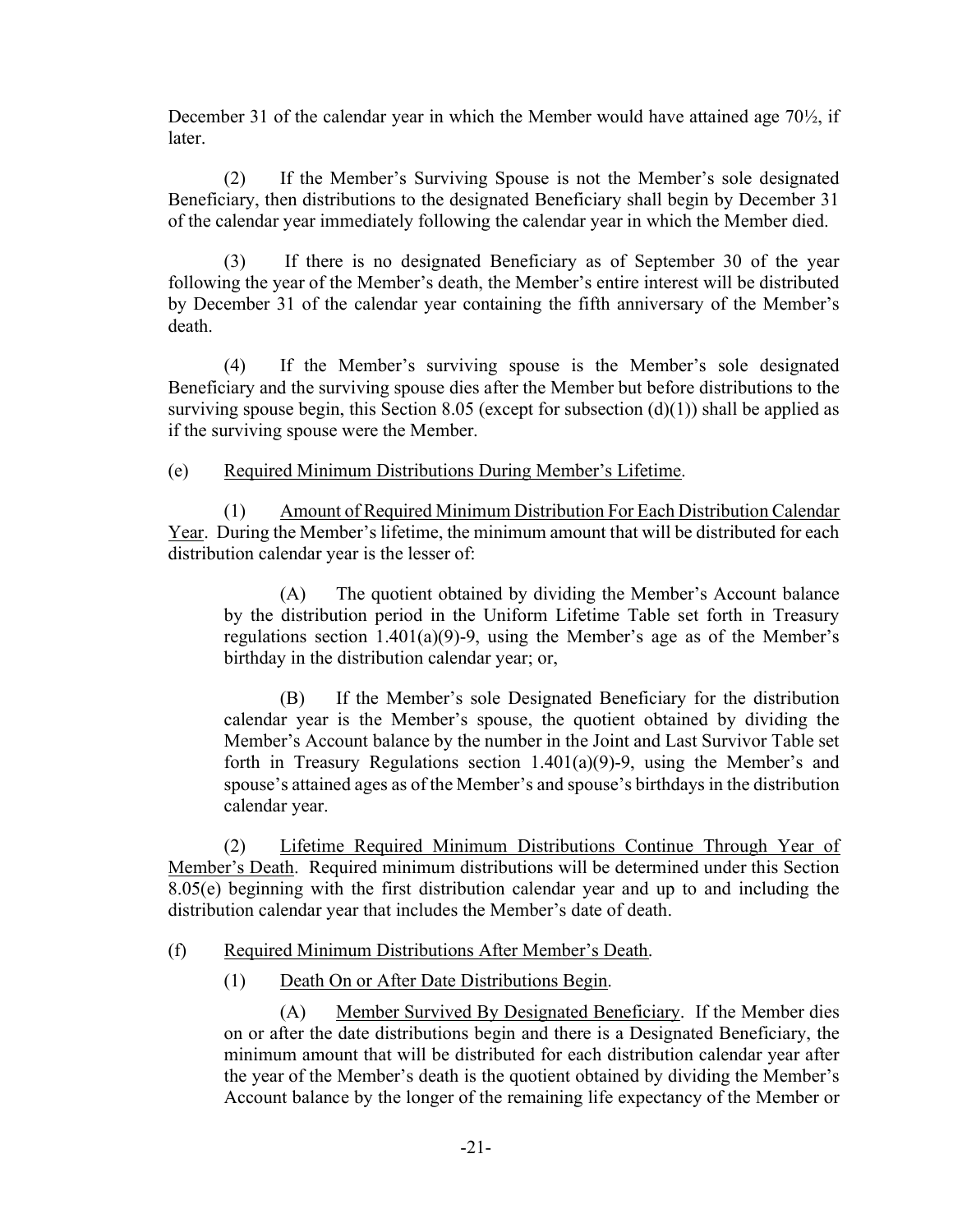December 31 of the calendar year in which the Member would have attained age 70½, if later.

(2) If the Member's Surviving Spouse is not the Member's sole designated Beneficiary, then distributions to the designated Beneficiary shall begin by December 31 of the calendar year immediately following the calendar year in which the Member died.

(3) If there is no designated Beneficiary as of September 30 of the year following the year of the Member's death, the Member's entire interest will be distributed by December 31 of the calendar year containing the fifth anniversary of the Member's death.

(4) If the Member's surviving spouse is the Member's sole designated Beneficiary and the surviving spouse dies after the Member but before distributions to the surviving spouse begin, this Section 8.05 (except for subsection  $(d)(1)$ ) shall be applied as if the surviving spouse were the Member.

(e) Required Minimum Distributions During Member's Lifetime.

(1) Amount of Required Minimum Distribution For Each Distribution Calendar Year. During the Member's lifetime, the minimum amount that will be distributed for each distribution calendar year is the lesser of:

(A) The quotient obtained by dividing the Member's Account balance by the distribution period in the Uniform Lifetime Table set forth in Treasury regulations section 1.401(a)(9)-9, using the Member's age as of the Member's birthday in the distribution calendar year; or,

(B) If the Member's sole Designated Beneficiary for the distribution calendar year is the Member's spouse, the quotient obtained by dividing the Member's Account balance by the number in the Joint and Last Survivor Table set forth in Treasury Regulations section  $1.401(a)(9)$ -9, using the Member's and spouse's attained ages as of the Member's and spouse's birthdays in the distribution calendar year.

(2) Lifetime Required Minimum Distributions Continue Through Year of Member's Death. Required minimum distributions will be determined under this Section 8.05(e) beginning with the first distribution calendar year and up to and including the distribution calendar year that includes the Member's date of death.

## (f) Required Minimum Distributions After Member's Death.

(1) Death On or After Date Distributions Begin.

(A) Member Survived By Designated Beneficiary. If the Member dies on or after the date distributions begin and there is a Designated Beneficiary, the minimum amount that will be distributed for each distribution calendar year after the year of the Member's death is the quotient obtained by dividing the Member's Account balance by the longer of the remaining life expectancy of the Member or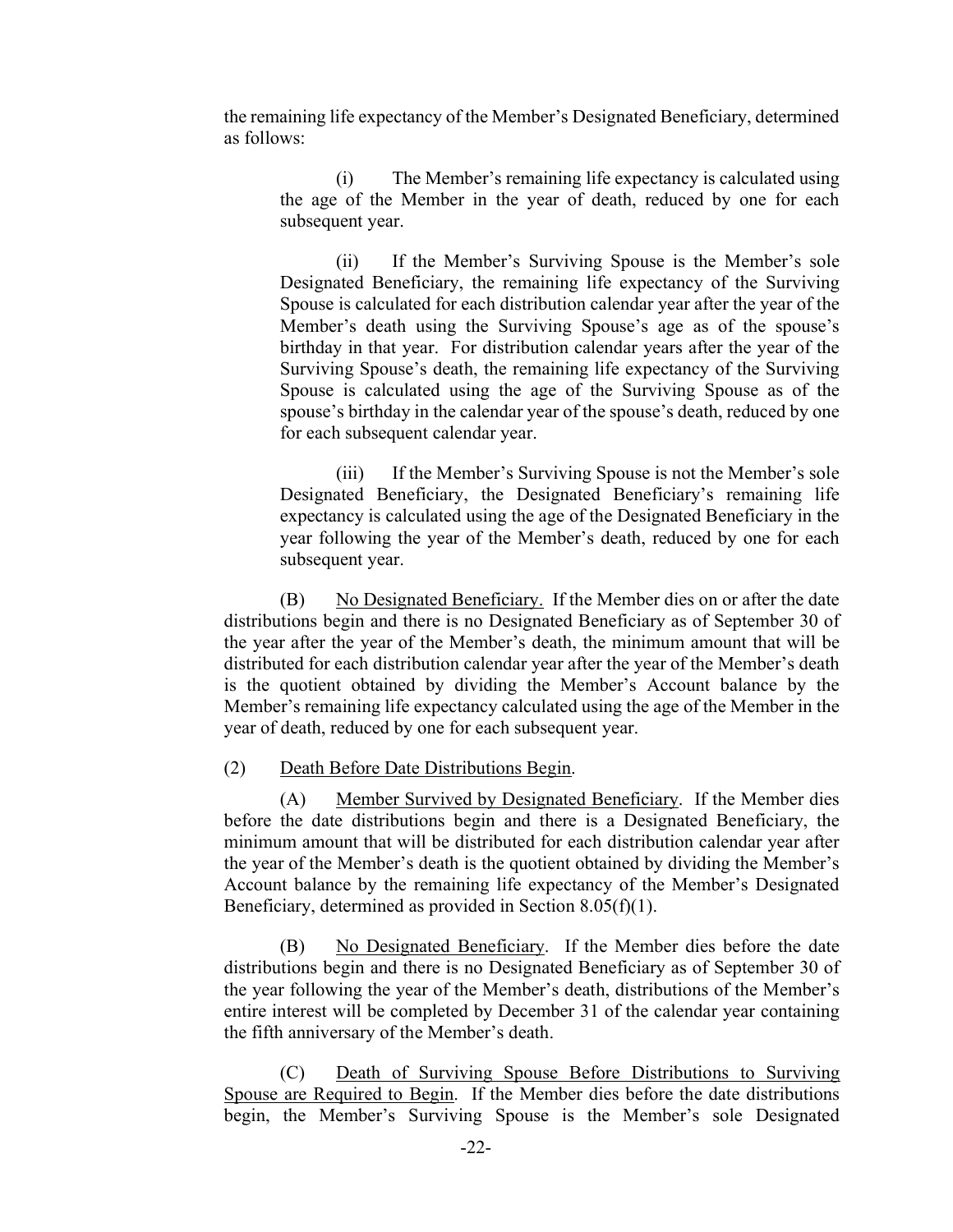the remaining life expectancy of the Member's Designated Beneficiary, determined as follows:

(i) The Member's remaining life expectancy is calculated using the age of the Member in the year of death, reduced by one for each subsequent year.

(ii) If the Member's Surviving Spouse is the Member's sole Designated Beneficiary, the remaining life expectancy of the Surviving Spouse is calculated for each distribution calendar year after the year of the Member's death using the Surviving Spouse's age as of the spouse's birthday in that year. For distribution calendar years after the year of the Surviving Spouse's death, the remaining life expectancy of the Surviving Spouse is calculated using the age of the Surviving Spouse as of the spouse's birthday in the calendar year of the spouse's death, reduced by one for each subsequent calendar year.

(iii) If the Member's Surviving Spouse is not the Member's sole Designated Beneficiary, the Designated Beneficiary's remaining life expectancy is calculated using the age of the Designated Beneficiary in the year following the year of the Member's death, reduced by one for each subsequent year.

(B) No Designated Beneficiary. If the Member dies on or after the date distributions begin and there is no Designated Beneficiary as of September 30 of the year after the year of the Member's death, the minimum amount that will be distributed for each distribution calendar year after the year of the Member's death is the quotient obtained by dividing the Member's Account balance by the Member's remaining life expectancy calculated using the age of the Member in the year of death, reduced by one for each subsequent year.

#### (2) Death Before Date Distributions Begin.

(A) Member Survived by Designated Beneficiary. If the Member dies before the date distributions begin and there is a Designated Beneficiary, the minimum amount that will be distributed for each distribution calendar year after the year of the Member's death is the quotient obtained by dividing the Member's Account balance by the remaining life expectancy of the Member's Designated Beneficiary, determined as provided in Section 8.05(f)(1).

(B) No Designated Beneficiary. If the Member dies before the date distributions begin and there is no Designated Beneficiary as of September 30 of the year following the year of the Member's death, distributions of the Member's entire interest will be completed by December 31 of the calendar year containing the fifth anniversary of the Member's death.

(C) Death of Surviving Spouse Before Distributions to Surviving Spouse are Required to Begin. If the Member dies before the date distributions begin, the Member's Surviving Spouse is the Member's sole Designated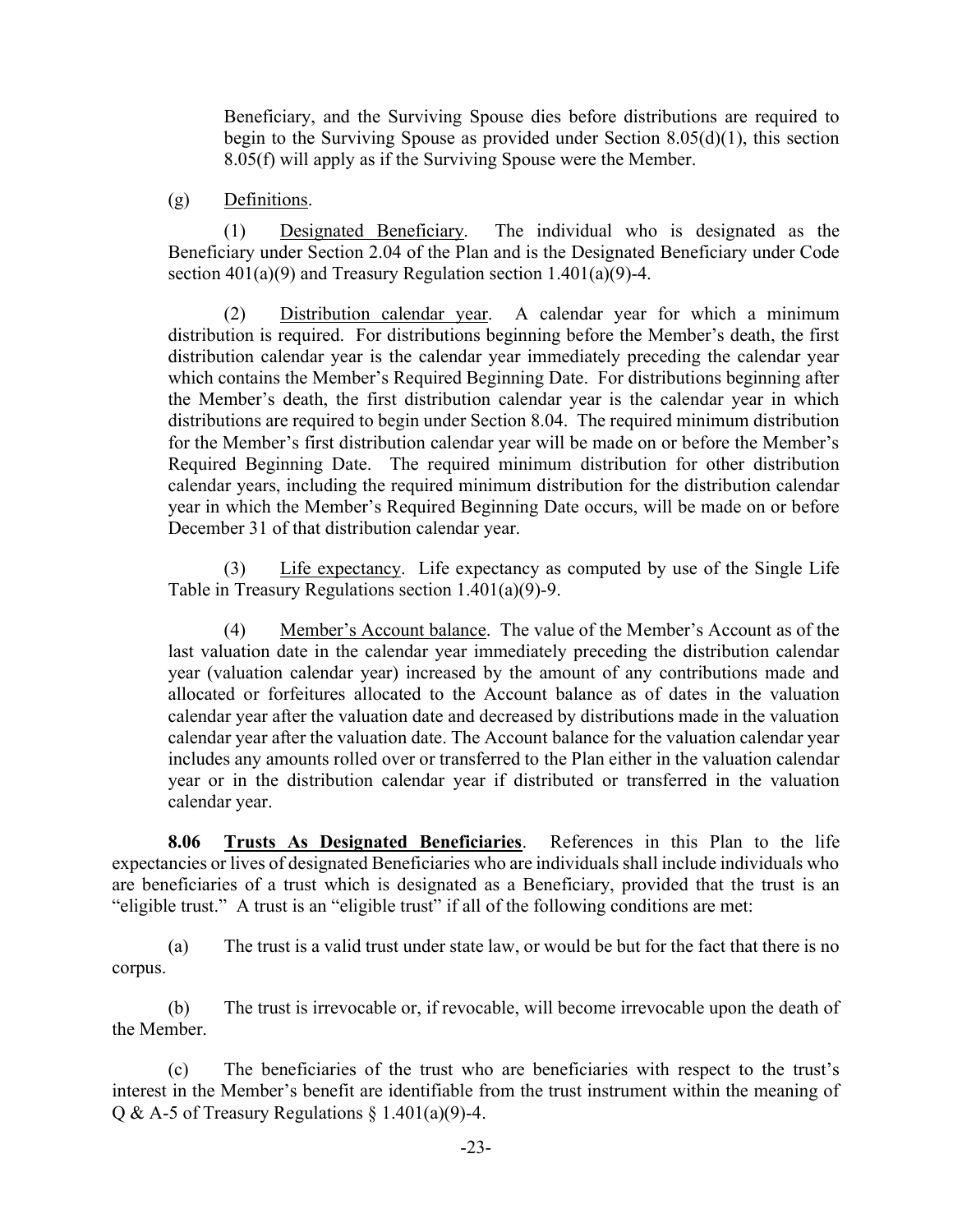Beneficiary, and the Surviving Spouse dies before distributions are required to begin to the Surviving Spouse as provided under Section 8.05(d)(1), this section 8.05(f) will apply as if the Surviving Spouse were the Member.

### (g) Definitions.

(1) Designated Beneficiary. The individual who is designated as the Beneficiary under Section 2.04 of the Plan and is the Designated Beneficiary under Code section 401(a)(9) and Treasury Regulation section 1.401(a)(9)-4.

(2) Distribution calendar year. A calendar year for which a minimum distribution is required. For distributions beginning before the Member's death, the first distribution calendar year is the calendar year immediately preceding the calendar year which contains the Member's Required Beginning Date. For distributions beginning after the Member's death, the first distribution calendar year is the calendar year in which distributions are required to begin under Section 8.04. The required minimum distribution for the Member's first distribution calendar year will be made on or before the Member's Required Beginning Date. The required minimum distribution for other distribution calendar years, including the required minimum distribution for the distribution calendar year in which the Member's Required Beginning Date occurs, will be made on or before December 31 of that distribution calendar year.

(3) Life expectancy. Life expectancy as computed by use of the Single Life Table in Treasury Regulations section 1.401(a)(9)-9.

(4) Member's Account balance. The value of the Member's Account as of the last valuation date in the calendar year immediately preceding the distribution calendar year (valuation calendar year) increased by the amount of any contributions made and allocated or forfeitures allocated to the Account balance as of dates in the valuation calendar year after the valuation date and decreased by distributions made in the valuation calendar year after the valuation date. The Account balance for the valuation calendar year includes any amounts rolled over or transferred to the Plan either in the valuation calendar year or in the distribution calendar year if distributed or transferred in the valuation calendar year.

8.06 Trusts As Designated Beneficiaries. References in this Plan to the life expectancies or lives of designated Beneficiaries who are individuals shall include individuals who are beneficiaries of a trust which is designated as a Beneficiary, provided that the trust is an "eligible trust." A trust is an "eligible trust" if all of the following conditions are met:

(a) The trust is a valid trust under state law, or would be but for the fact that there is no corpus.

(b) The trust is irrevocable or, if revocable, will become irrevocable upon the death of the Member.

(c) The beneficiaries of the trust who are beneficiaries with respect to the trust's interest in the Member's benefit are identifiable from the trust instrument within the meaning of Q & A-5 of Treasury Regulations  $\S$  1.401(a)(9)-4.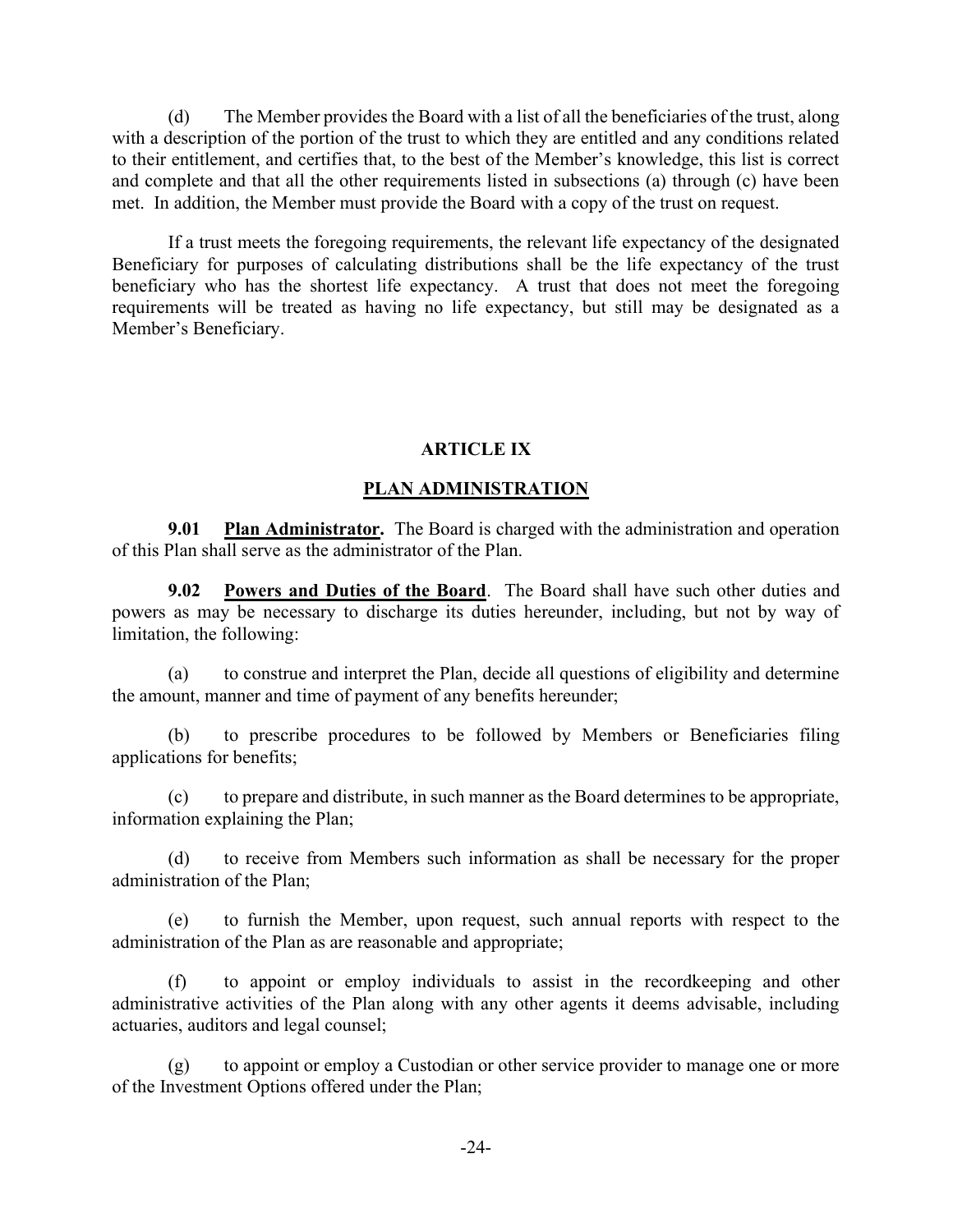(d) The Member provides the Board with a list of all the beneficiaries of the trust, along with a description of the portion of the trust to which they are entitled and any conditions related to their entitlement, and certifies that, to the best of the Member's knowledge, this list is correct and complete and that all the other requirements listed in subsections (a) through (c) have been met. In addition, the Member must provide the Board with a copy of the trust on request.

If a trust meets the foregoing requirements, the relevant life expectancy of the designated Beneficiary for purposes of calculating distributions shall be the life expectancy of the trust beneficiary who has the shortest life expectancy. A trust that does not meet the foregoing requirements will be treated as having no life expectancy, but still may be designated as a Member's Beneficiary.

#### ARTICLE IX

#### PLAN ADMINISTRATION

9.01 Plan Administrator. The Board is charged with the administration and operation of this Plan shall serve as the administrator of the Plan.

9.02 Powers and Duties of the Board. The Board shall have such other duties and powers as may be necessary to discharge its duties hereunder, including, but not by way of limitation, the following:

(a) to construe and interpret the Plan, decide all questions of eligibility and determine the amount, manner and time of payment of any benefits hereunder;

(b) to prescribe procedures to be followed by Members or Beneficiaries filing applications for benefits;

(c) to prepare and distribute, in such manner as the Board determines to be appropriate, information explaining the Plan;

(d) to receive from Members such information as shall be necessary for the proper administration of the Plan;

(e) to furnish the Member, upon request, such annual reports with respect to the administration of the Plan as are reasonable and appropriate;

(f) to appoint or employ individuals to assist in the recordkeeping and other administrative activities of the Plan along with any other agents it deems advisable, including actuaries, auditors and legal counsel;

(g) to appoint or employ a Custodian or other service provider to manage one or more of the Investment Options offered under the Plan;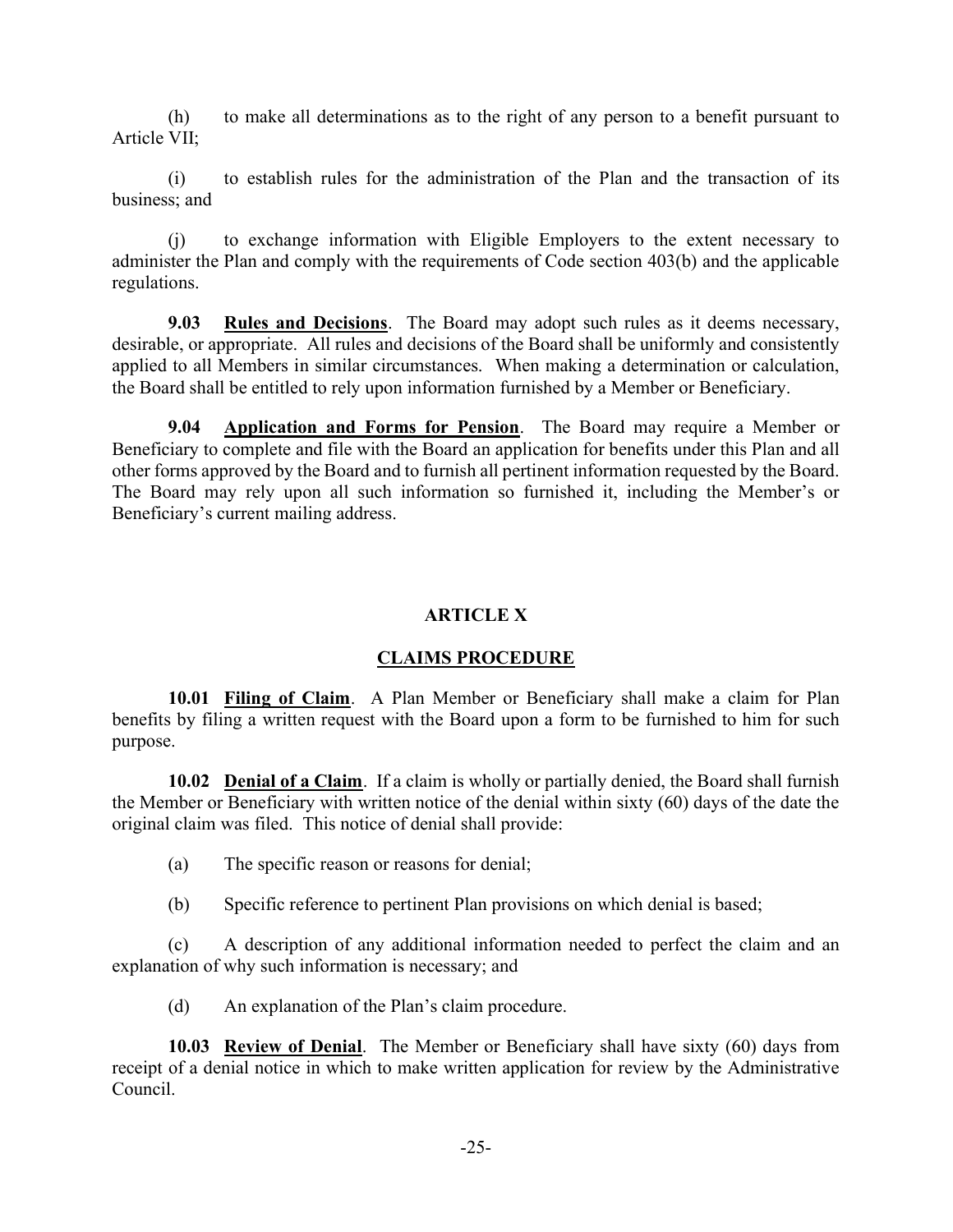(h) to make all determinations as to the right of any person to a benefit pursuant to Article VII;

(i) to establish rules for the administration of the Plan and the transaction of its business; and

(j) to exchange information with Eligible Employers to the extent necessary to administer the Plan and comply with the requirements of Code section 403(b) and the applicable regulations.

9.03 Rules and Decisions. The Board may adopt such rules as it deems necessary, desirable, or appropriate. All rules and decisions of the Board shall be uniformly and consistently applied to all Members in similar circumstances. When making a determination or calculation, the Board shall be entitled to rely upon information furnished by a Member or Beneficiary.

9.04 Application and Forms for Pension. The Board may require a Member or Beneficiary to complete and file with the Board an application for benefits under this Plan and all other forms approved by the Board and to furnish all pertinent information requested by the Board. The Board may rely upon all such information so furnished it, including the Member's or Beneficiary's current mailing address.

# ARTICLE X

## CLAIMS PROCEDURE

10.01 Filing of Claim. A Plan Member or Beneficiary shall make a claim for Plan benefits by filing a written request with the Board upon a form to be furnished to him for such purpose.

10.02 Denial of a Claim. If a claim is wholly or partially denied, the Board shall furnish the Member or Beneficiary with written notice of the denial within sixty (60) days of the date the original claim was filed. This notice of denial shall provide:

- (a) The specific reason or reasons for denial;
- (b) Specific reference to pertinent Plan provisions on which denial is based;

(c) A description of any additional information needed to perfect the claim and an explanation of why such information is necessary; and

(d) An explanation of the Plan's claim procedure.

10.03 Review of Denial. The Member or Beneficiary shall have sixty (60) days from receipt of a denial notice in which to make written application for review by the Administrative Council.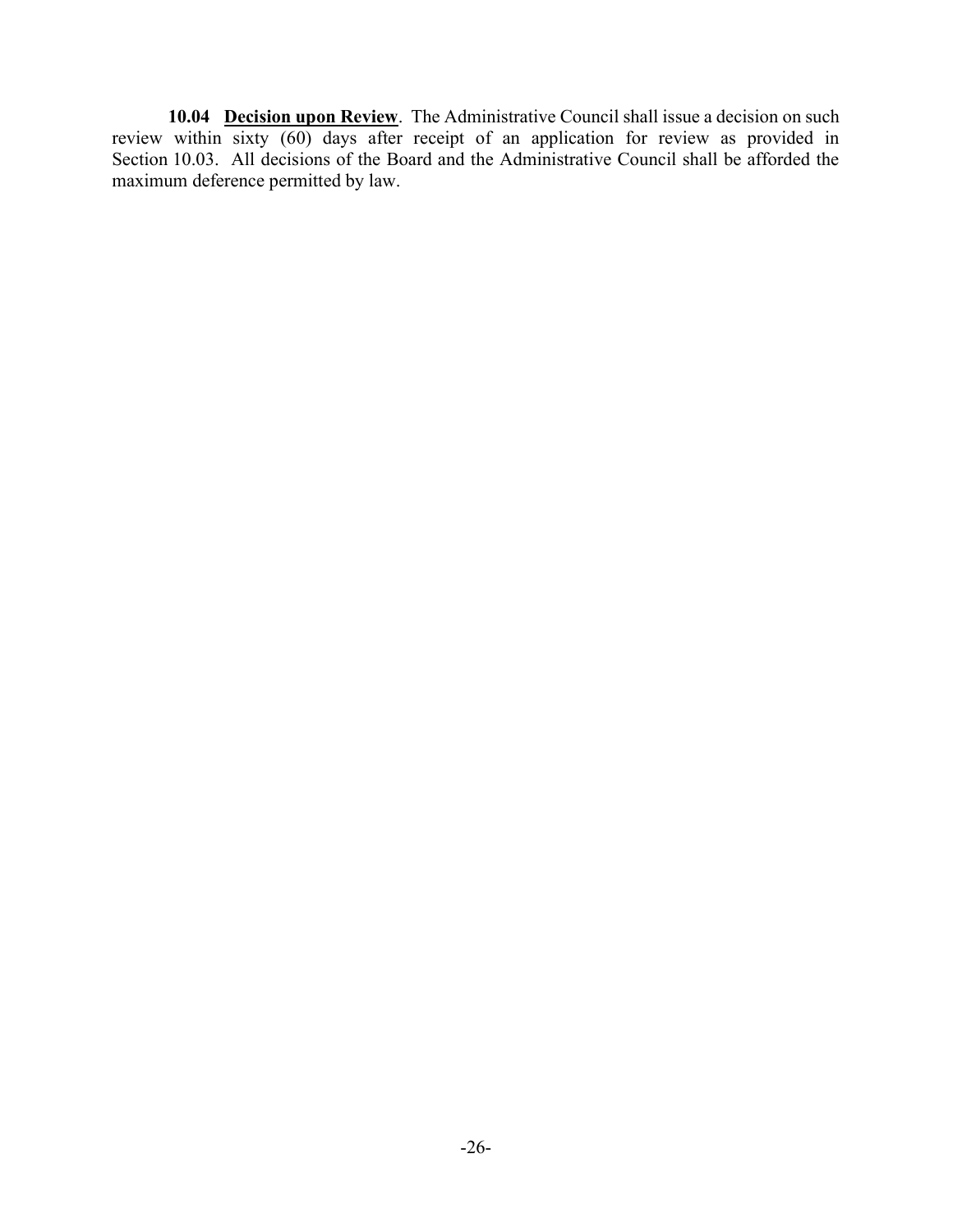10.04 Decision upon Review. The Administrative Council shall issue a decision on such review within sixty (60) days after receipt of an application for review as provided in Section 10.03. All decisions of the Board and the Administrative Council shall be afforded the maximum deference permitted by law.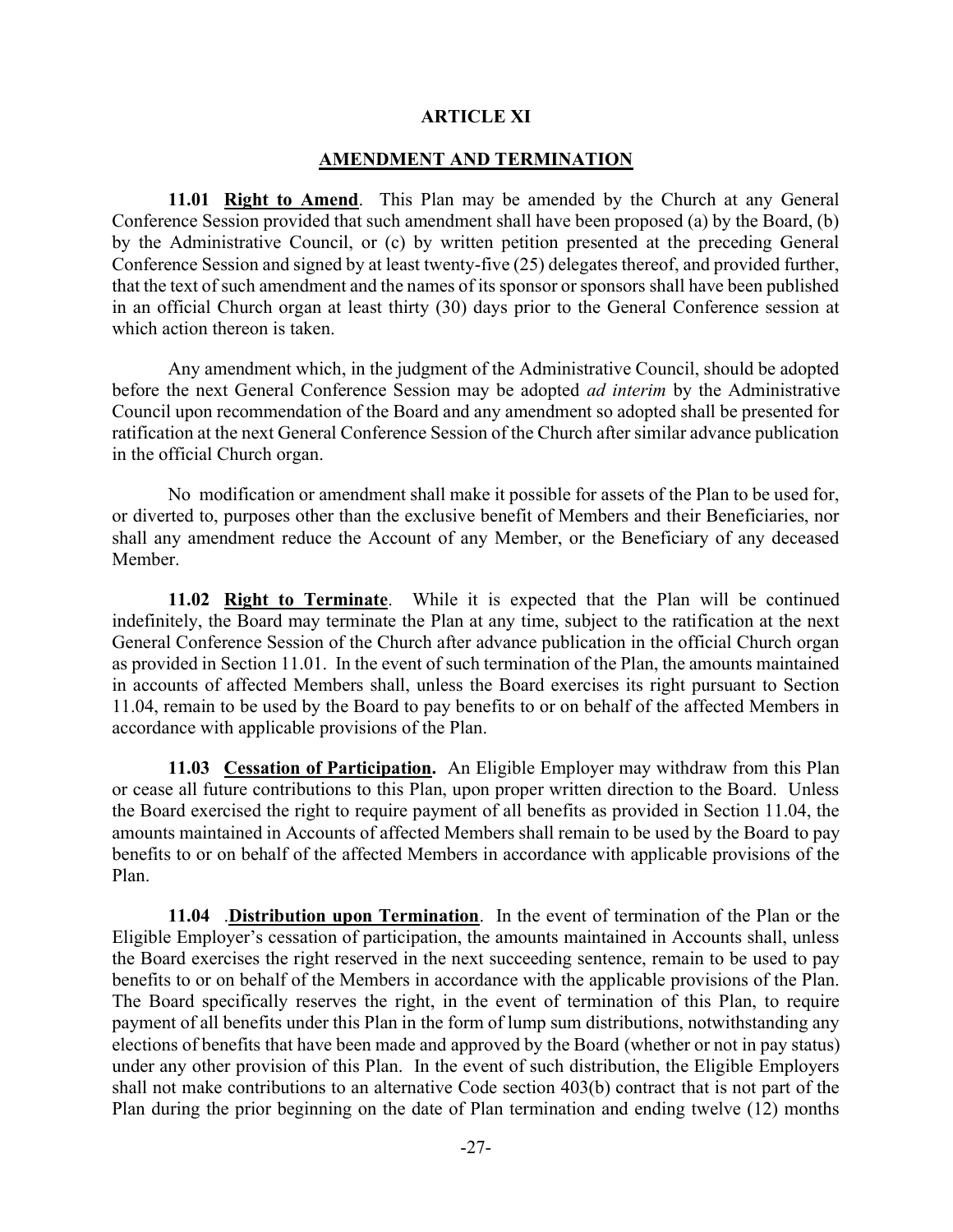#### ARTICLE XI

#### AMENDMENT AND TERMINATION

11.01 Right to Amend. This Plan may be amended by the Church at any General Conference Session provided that such amendment shall have been proposed (a) by the Board, (b) by the Administrative Council, or (c) by written petition presented at the preceding General Conference Session and signed by at least twenty-five (25) delegates thereof, and provided further, that the text of such amendment and the names of its sponsor or sponsors shall have been published in an official Church organ at least thirty (30) days prior to the General Conference session at which action thereon is taken.

Any amendment which, in the judgment of the Administrative Council, should be adopted before the next General Conference Session may be adopted *ad interim* by the Administrative Council upon recommendation of the Board and any amendment so adopted shall be presented for ratification at the next General Conference Session of the Church after similar advance publication in the official Church organ.

No modification or amendment shall make it possible for assets of the Plan to be used for, or diverted to, purposes other than the exclusive benefit of Members and their Beneficiaries, nor shall any amendment reduce the Account of any Member, or the Beneficiary of any deceased Member.

11.02 Right to Terminate. While it is expected that the Plan will be continued indefinitely, the Board may terminate the Plan at any time, subject to the ratification at the next General Conference Session of the Church after advance publication in the official Church organ as provided in Section 11.01. In the event of such termination of the Plan, the amounts maintained in accounts of affected Members shall, unless the Board exercises its right pursuant to Section 11.04, remain to be used by the Board to pay benefits to or on behalf of the affected Members in accordance with applicable provisions of the Plan.

11.03 Cessation of Participation. An Eligible Employer may withdraw from this Plan or cease all future contributions to this Plan, upon proper written direction to the Board. Unless the Board exercised the right to require payment of all benefits as provided in Section 11.04, the amounts maintained in Accounts of affected Members shall remain to be used by the Board to pay benefits to or on behalf of the affected Members in accordance with applicable provisions of the Plan.

11.04 .Distribution upon Termination. In the event of termination of the Plan or the Eligible Employer's cessation of participation, the amounts maintained in Accounts shall, unless the Board exercises the right reserved in the next succeeding sentence, remain to be used to pay benefits to or on behalf of the Members in accordance with the applicable provisions of the Plan. The Board specifically reserves the right, in the event of termination of this Plan, to require payment of all benefits under this Plan in the form of lump sum distributions, notwithstanding any elections of benefits that have been made and approved by the Board (whether or not in pay status) under any other provision of this Plan. In the event of such distribution, the Eligible Employers shall not make contributions to an alternative Code section 403(b) contract that is not part of the Plan during the prior beginning on the date of Plan termination and ending twelve (12) months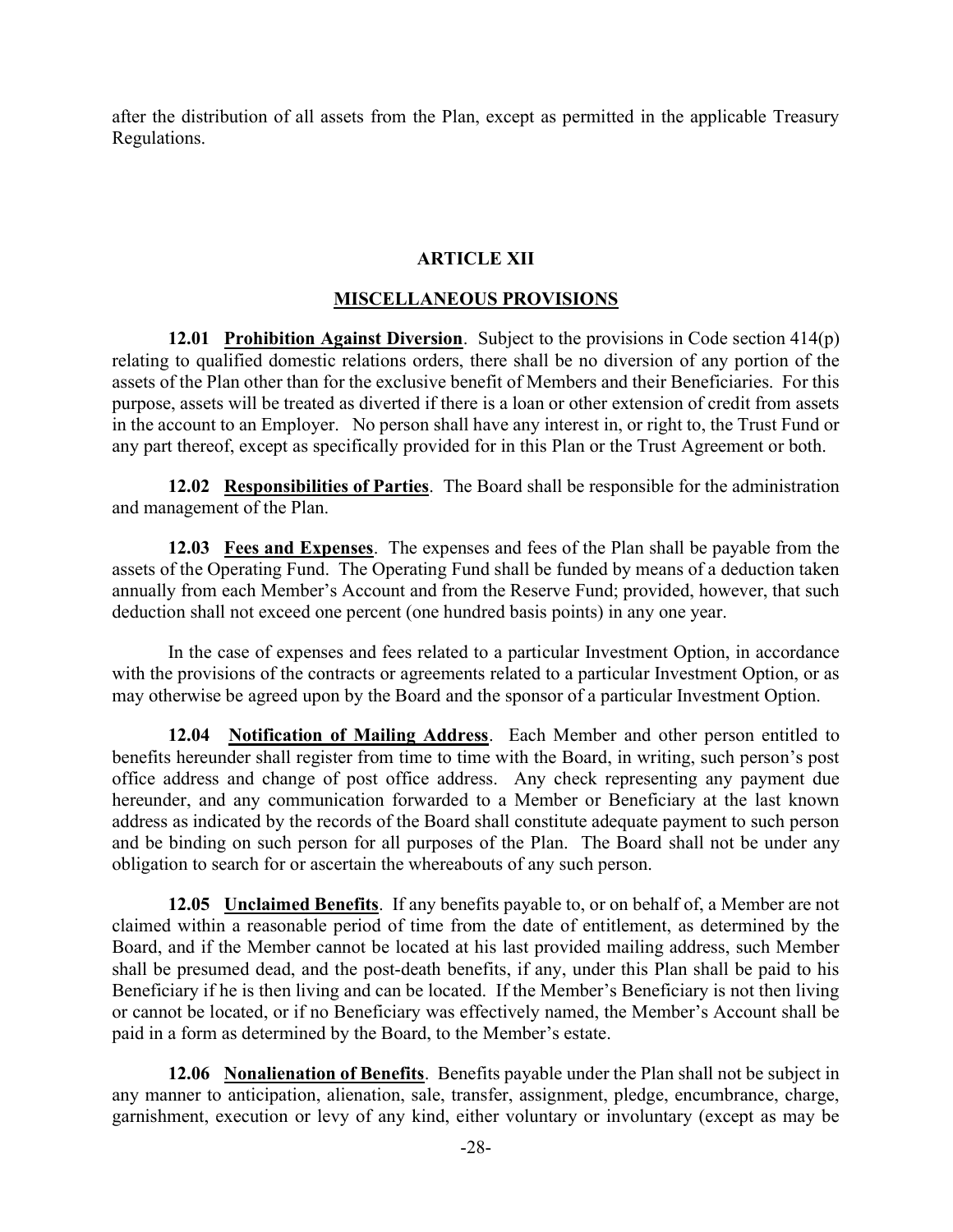after the distribution of all assets from the Plan, except as permitted in the applicable Treasury Regulations.

#### ARTICLE XII

#### MISCELLANEOUS PROVISIONS

12.01 Prohibition Against Diversion. Subject to the provisions in Code section 414(p) relating to qualified domestic relations orders, there shall be no diversion of any portion of the assets of the Plan other than for the exclusive benefit of Members and their Beneficiaries. For this purpose, assets will be treated as diverted if there is a loan or other extension of credit from assets in the account to an Employer. No person shall have any interest in, or right to, the Trust Fund or any part thereof, except as specifically provided for in this Plan or the Trust Agreement or both.

12.02 Responsibilities of Parties. The Board shall be responsible for the administration and management of the Plan.

12.03 Fees and Expenses. The expenses and fees of the Plan shall be payable from the assets of the Operating Fund. The Operating Fund shall be funded by means of a deduction taken annually from each Member's Account and from the Reserve Fund; provided, however, that such deduction shall not exceed one percent (one hundred basis points) in any one year.

In the case of expenses and fees related to a particular Investment Option, in accordance with the provisions of the contracts or agreements related to a particular Investment Option, or as may otherwise be agreed upon by the Board and the sponsor of a particular Investment Option.

12.04 Notification of Mailing Address. Each Member and other person entitled to benefits hereunder shall register from time to time with the Board, in writing, such person's post office address and change of post office address. Any check representing any payment due hereunder, and any communication forwarded to a Member or Beneficiary at the last known address as indicated by the records of the Board shall constitute adequate payment to such person and be binding on such person for all purposes of the Plan. The Board shall not be under any obligation to search for or ascertain the whereabouts of any such person.

12.05 Unclaimed Benefits. If any benefits payable to, or on behalf of, a Member are not claimed within a reasonable period of time from the date of entitlement, as determined by the Board, and if the Member cannot be located at his last provided mailing address, such Member shall be presumed dead, and the post-death benefits, if any, under this Plan shall be paid to his Beneficiary if he is then living and can be located. If the Member's Beneficiary is not then living or cannot be located, or if no Beneficiary was effectively named, the Member's Account shall be paid in a form as determined by the Board, to the Member's estate.

12.06 Nonalienation of Benefits. Benefits payable under the Plan shall not be subject in any manner to anticipation, alienation, sale, transfer, assignment, pledge, encumbrance, charge, garnishment, execution or levy of any kind, either voluntary or involuntary (except as may be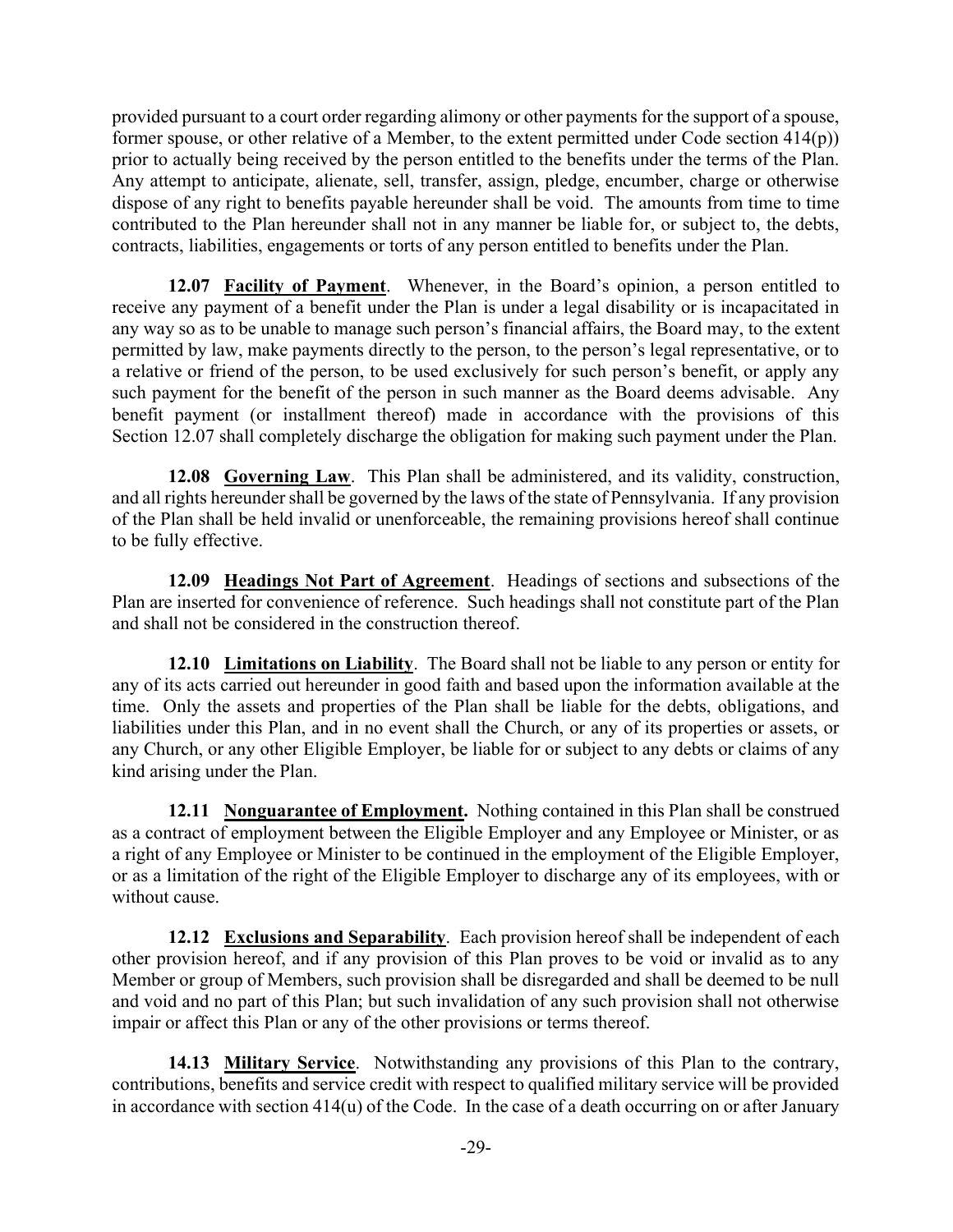provided pursuant to a court order regarding alimony or other payments for the support of a spouse, former spouse, or other relative of a Member, to the extent permitted under Code section 414(p)) prior to actually being received by the person entitled to the benefits under the terms of the Plan. Any attempt to anticipate, alienate, sell, transfer, assign, pledge, encumber, charge or otherwise dispose of any right to benefits payable hereunder shall be void. The amounts from time to time contributed to the Plan hereunder shall not in any manner be liable for, or subject to, the debts, contracts, liabilities, engagements or torts of any person entitled to benefits under the Plan.

12.07 Facility of Payment. Whenever, in the Board's opinion, a person entitled to receive any payment of a benefit under the Plan is under a legal disability or is incapacitated in any way so as to be unable to manage such person's financial affairs, the Board may, to the extent permitted by law, make payments directly to the person, to the person's legal representative, or to a relative or friend of the person, to be used exclusively for such person's benefit, or apply any such payment for the benefit of the person in such manner as the Board deems advisable. Any benefit payment (or installment thereof) made in accordance with the provisions of this Section 12.07 shall completely discharge the obligation for making such payment under the Plan.

12.08 Governing Law. This Plan shall be administered, and its validity, construction, and all rights hereunder shall be governed by the laws of the state of Pennsylvania. If any provision of the Plan shall be held invalid or unenforceable, the remaining provisions hereof shall continue to be fully effective.

12.09 Headings Not Part of Agreement. Headings of sections and subsections of the Plan are inserted for convenience of reference. Such headings shall not constitute part of the Plan and shall not be considered in the construction thereof.

12.10 Limitations on Liability. The Board shall not be liable to any person or entity for any of its acts carried out hereunder in good faith and based upon the information available at the time. Only the assets and properties of the Plan shall be liable for the debts, obligations, and liabilities under this Plan, and in no event shall the Church, or any of its properties or assets, or any Church, or any other Eligible Employer, be liable for or subject to any debts or claims of any kind arising under the Plan.

12.11 Nonguarantee of Employment. Nothing contained in this Plan shall be construed as a contract of employment between the Eligible Employer and any Employee or Minister, or as a right of any Employee or Minister to be continued in the employment of the Eligible Employer, or as a limitation of the right of the Eligible Employer to discharge any of its employees, with or without cause.

12.12 Exclusions and Separability. Each provision hereof shall be independent of each other provision hereof, and if any provision of this Plan proves to be void or invalid as to any Member or group of Members, such provision shall be disregarded and shall be deemed to be null and void and no part of this Plan; but such invalidation of any such provision shall not otherwise impair or affect this Plan or any of the other provisions or terms thereof.

14.13 Military Service. Notwithstanding any provisions of this Plan to the contrary, contributions, benefits and service credit with respect to qualified military service will be provided in accordance with section 414(u) of the Code. In the case of a death occurring on or after January